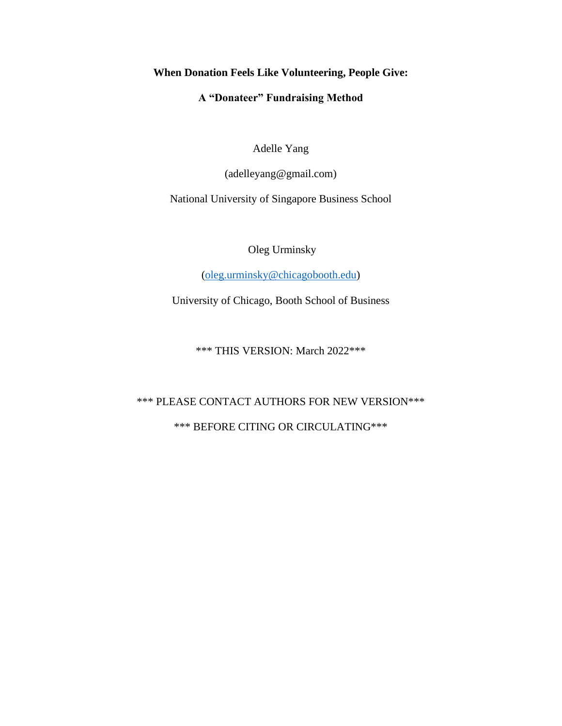# **When Donation Feels Like Volunteering, People Give:**

# **A "Donateer" Fundraising Method**

Adelle Yang

(adelleyang@gmail.com)

National University of Singapore Business School

Oleg Urminsky

[\(oleg.urminsky@chicagobooth.edu\)](mailto:oleg.urminsky@chicagobooth.edu)

University of Chicago, Booth School of Business

\*\*\* THIS VERSION: March 2022\*\*\*

# \*\*\* PLEASE CONTACT AUTHORS FOR NEW VERSION\*\*\*

# \*\*\* BEFORE CITING OR CIRCULATING\*\*\*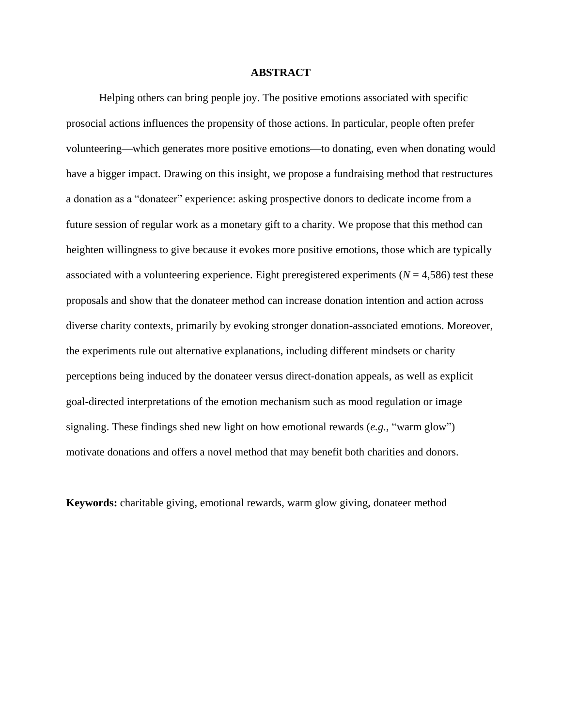#### **ABSTRACT**

Helping others can bring people joy. The positive emotions associated with specific prosocial actions influences the propensity of those actions. In particular, people often prefer volunteering—which generates more positive emotions—to donating, even when donating would have a bigger impact. Drawing on this insight, we propose a fundraising method that restructures a donation as a "donateer" experience: asking prospective donors to dedicate income from a future session of regular work as a monetary gift to a charity. We propose that this method can heighten willingness to give because it evokes more positive emotions, those which are typically associated with a volunteering experience. Eight preregistered experiments  $(N = 4,586)$  test these proposals and show that the donateer method can increase donation intention and action across diverse charity contexts, primarily by evoking stronger donation-associated emotions. Moreover, the experiments rule out alternative explanations, including different mindsets or charity perceptions being induced by the donateer versus direct-donation appeals, as well as explicit goal-directed interpretations of the emotion mechanism such as mood regulation or image signaling. These findings shed new light on how emotional rewards (*e.g.,* "warm glow") motivate donations and offers a novel method that may benefit both charities and donors.

**Keywords:** charitable giving, emotional rewards, warm glow giving, donateer method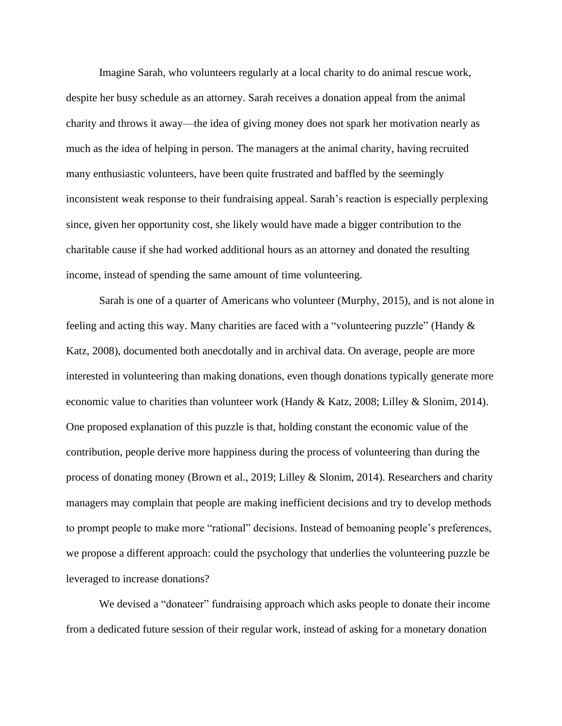Imagine Sarah, who volunteers regularly at a local charity to do animal rescue work, despite her busy schedule as an attorney. Sarah receives a donation appeal from the animal charity and throws it away—the idea of giving money does not spark her motivation nearly as much as the idea of helping in person. The managers at the animal charity, having recruited many enthusiastic volunteers, have been quite frustrated and baffled by the seemingly inconsistent weak response to their fundraising appeal. Sarah's reaction is especially perplexing since, given her opportunity cost, she likely would have made a bigger contribution to the charitable cause if she had worked additional hours as an attorney and donated the resulting income, instead of spending the same amount of time volunteering.

Sarah is one of a quarter of Americans who volunteer (Murphy, 2015), and is not alone in feeling and acting this way. Many charities are faced with a "volunteering puzzle" (Handy & Katz, 2008), documented both anecdotally and in archival data. On average, people are more interested in volunteering than making donations, even though donations typically generate more economic value to charities than volunteer work (Handy & Katz, 2008; Lilley & Slonim, 2014). One proposed explanation of this puzzle is that, holding constant the economic value of the contribution, people derive more happiness during the process of volunteering than during the process of donating money (Brown et al., 2019; Lilley & Slonim, 2014). Researchers and charity managers may complain that people are making inefficient decisions and try to develop methods to prompt people to make more "rational" decisions. Instead of bemoaning people's preferences, we propose a different approach: could the psychology that underlies the volunteering puzzle be leveraged to increase donations?

We devised a "donateer" fundraising approach which asks people to donate their income from a dedicated future session of their regular work, instead of asking for a monetary donation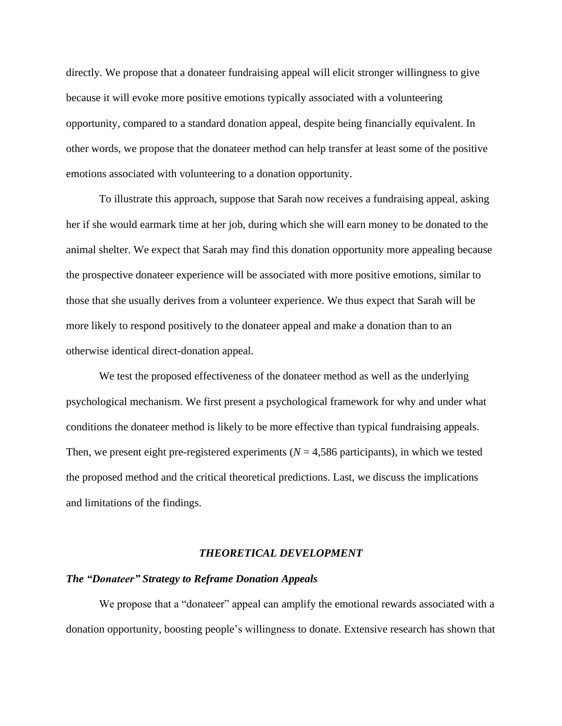directly. We propose that a donateer fundraising appeal will elicit stronger willingness to give because it will evoke more positive emotions typically associated with a volunteering opportunity, compared to a standard donation appeal, despite being financially equivalent. In other words, we propose that the donateer method can help transfer at least some of the positive emotions associated with volunteering to a donation opportunity.

To illustrate this approach, suppose that Sarah now receives a fundraising appeal, asking her if she would earmark time at her job, during which she will earn money to be donated to the animal shelter. We expect that Sarah may find this donation opportunity more appealing because the prospective donateer experience will be associated with more positive emotions, similar to those that she usually derives from a volunteer experience. We thus expect that Sarah will be more likely to respond positively to the donateer appeal and make a donation than to an otherwise identical direct-donation appeal.

We test the proposed effectiveness of the donateer method as well as the underlying psychological mechanism. We first present a psychological framework for why and under what conditions the donateer method is likely to be more effective than typical fundraising appeals. Then, we present eight pre-registered experiments  $(N = 4,586$  participants), in which we tested the proposed method and the critical theoretical predictions. Last, we discuss the implications and limitations of the findings.

#### *THEORETICAL DEVELOPMENT*

#### *The "Donateer" Strategy to Reframe Donation Appeals*

We propose that a "donateer" appeal can amplify the emotional rewards associated with a donation opportunity, boosting people's willingness to donate. Extensive research has shown that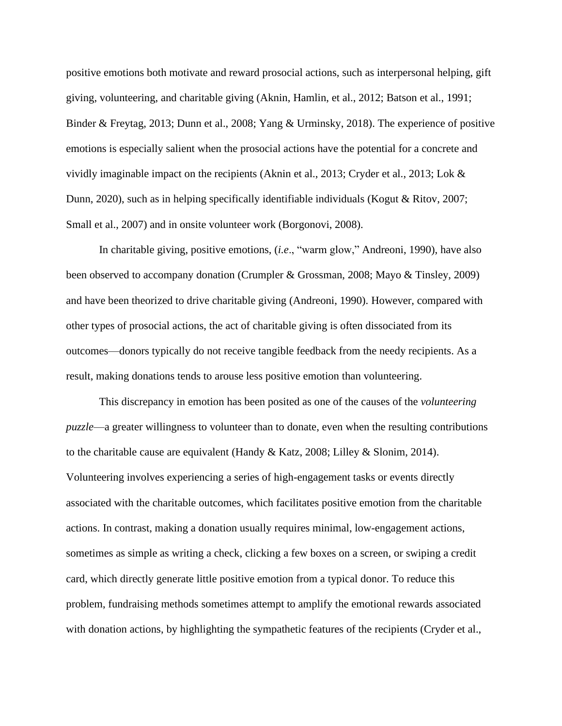positive emotions both motivate and reward prosocial actions, such as interpersonal helping, gift giving, volunteering, and charitable giving (Aknin, Hamlin, et al., 2012; Batson et al., 1991; Binder & Freytag, 2013; Dunn et al., 2008; Yang & Urminsky, 2018). The experience of positive emotions is especially salient when the prosocial actions have the potential for a concrete and vividly imaginable impact on the recipients (Aknin et al., 2013; Cryder et al., 2013; Lok & Dunn, 2020), such as in helping specifically identifiable individuals (Kogut & Ritov, 2007; Small et al., 2007) and in onsite volunteer work (Borgonovi, 2008).

In charitable giving, positive emotions, (*i.e*., "warm glow," Andreoni, 1990), have also been observed to accompany donation (Crumpler & Grossman, 2008; Mayo & Tinsley, 2009) and have been theorized to drive charitable giving (Andreoni, 1990). However, compared with other types of prosocial actions, the act of charitable giving is often dissociated from its outcomes—donors typically do not receive tangible feedback from the needy recipients. As a result, making donations tends to arouse less positive emotion than volunteering.

This discrepancy in emotion has been posited as one of the causes of the *volunteering puzzle*—a greater willingness to volunteer than to donate, even when the resulting contributions to the charitable cause are equivalent (Handy & Katz, 2008; Lilley & Slonim, 2014). Volunteering involves experiencing a series of high-engagement tasks or events directly associated with the charitable outcomes, which facilitates positive emotion from the charitable actions. In contrast, making a donation usually requires minimal, low-engagement actions, sometimes as simple as writing a check, clicking a few boxes on a screen, or swiping a credit card, which directly generate little positive emotion from a typical donor. To reduce this problem, fundraising methods sometimes attempt to amplify the emotional rewards associated with donation actions, by highlighting the sympathetic features of the recipients (Cryder et al.,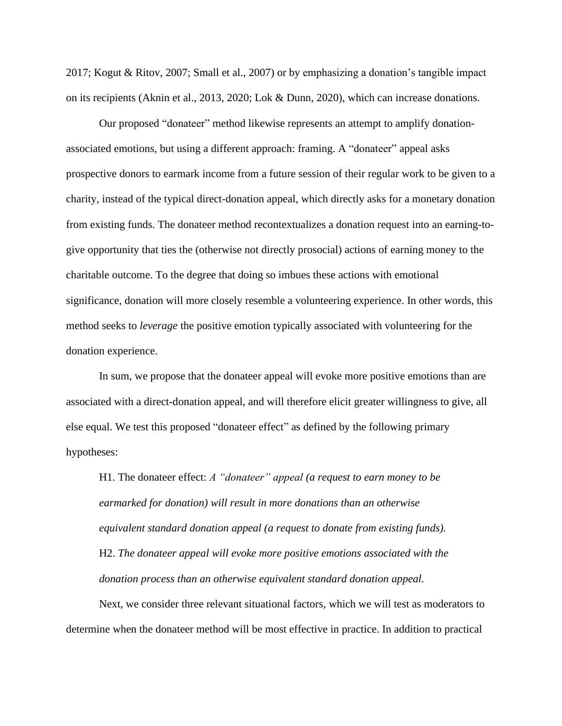2017; Kogut & Ritov, 2007; Small et al., 2007) or by emphasizing a donation's tangible impact on its recipients (Aknin et al., 2013, 2020; Lok & Dunn, 2020), which can increase donations.

Our proposed "donateer" method likewise represents an attempt to amplify donationassociated emotions, but using a different approach: framing. A "donateer" appeal asks prospective donors to earmark income from a future session of their regular work to be given to a charity, instead of the typical direct-donation appeal, which directly asks for a monetary donation from existing funds. The donateer method recontextualizes a donation request into an earning-togive opportunity that ties the (otherwise not directly prosocial) actions of earning money to the charitable outcome. To the degree that doing so imbues these actions with emotional significance, donation will more closely resemble a volunteering experience. In other words, this method seeks to *leverage* the positive emotion typically associated with volunteering for the donation experience.

In sum, we propose that the donateer appeal will evoke more positive emotions than are associated with a direct-donation appeal, and will therefore elicit greater willingness to give, all else equal. We test this proposed "donateer effect" as defined by the following primary hypotheses:

H1. The donateer effect: *A "donateer" appeal (a request to earn money to be earmarked for donation) will result in more donations than an otherwise equivalent standard donation appeal (a request to donate from existing funds).* H2. *The donateer appeal will evoke more positive emotions associated with the donation process than an otherwise equivalent standard donation appeal.*

Next, we consider three relevant situational factors, which we will test as moderators to determine when the donateer method will be most effective in practice. In addition to practical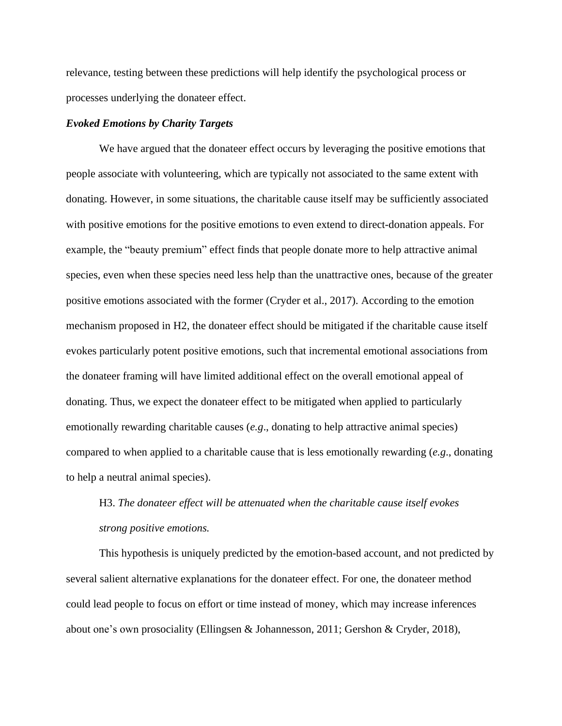relevance, testing between these predictions will help identify the psychological process or processes underlying the donateer effect.

## *Evoked Emotions by Charity Targets*

We have argued that the donateer effect occurs by leveraging the positive emotions that people associate with volunteering, which are typically not associated to the same extent with donating. However, in some situations, the charitable cause itself may be sufficiently associated with positive emotions for the positive emotions to even extend to direct-donation appeals. For example, the "beauty premium" effect finds that people donate more to help attractive animal species, even when these species need less help than the unattractive ones, because of the greater positive emotions associated with the former (Cryder et al., 2017). According to the emotion mechanism proposed in H2, the donateer effect should be mitigated if the charitable cause itself evokes particularly potent positive emotions, such that incremental emotional associations from the donateer framing will have limited additional effect on the overall emotional appeal of donating. Thus, we expect the donateer effect to be mitigated when applied to particularly emotionally rewarding charitable causes (*e.g*., donating to help attractive animal species) compared to when applied to a charitable cause that is less emotionally rewarding (*e.g*., donating to help a neutral animal species).

# H3. *The donateer effect will be attenuated when the charitable cause itself evokes strong positive emotions.*

This hypothesis is uniquely predicted by the emotion-based account, and not predicted by several salient alternative explanations for the donateer effect. For one, the donateer method could lead people to focus on effort or time instead of money, which may increase inferences about one's own prosociality (Ellingsen & Johannesson, 2011; Gershon & Cryder, 2018),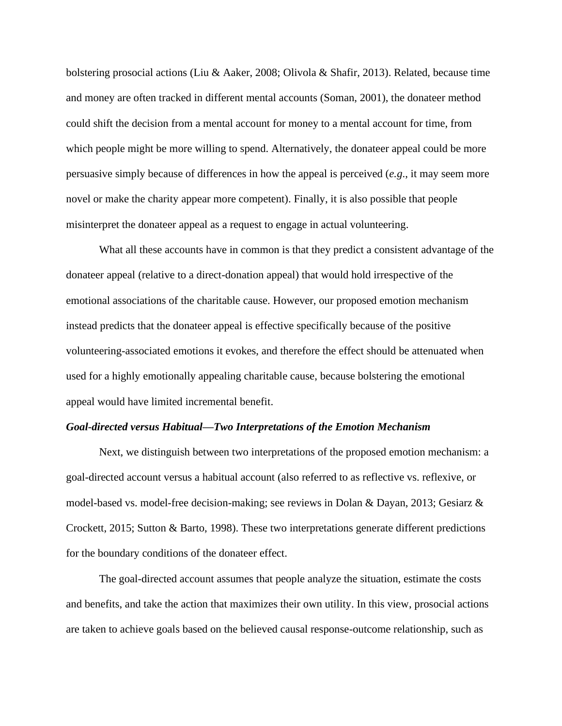bolstering prosocial actions (Liu & Aaker, 2008; Olivola & Shafir, 2013). Related, because time and money are often tracked in different mental accounts (Soman, 2001), the donateer method could shift the decision from a mental account for money to a mental account for time, from which people might be more willing to spend. Alternatively, the donateer appeal could be more persuasive simply because of differences in how the appeal is perceived (*e.g*., it may seem more novel or make the charity appear more competent). Finally, it is also possible that people misinterpret the donateer appeal as a request to engage in actual volunteering.

What all these accounts have in common is that they predict a consistent advantage of the donateer appeal (relative to a direct-donation appeal) that would hold irrespective of the emotional associations of the charitable cause. However, our proposed emotion mechanism instead predicts that the donateer appeal is effective specifically because of the positive volunteering-associated emotions it evokes, and therefore the effect should be attenuated when used for a highly emotionally appealing charitable cause, because bolstering the emotional appeal would have limited incremental benefit.

#### *Goal-directed versus Habitual—Two Interpretations of the Emotion Mechanism*

Next, we distinguish between two interpretations of the proposed emotion mechanism: a goal-directed account versus a habitual account (also referred to as reflective vs. reflexive, or model-based vs. model-free decision-making; see reviews in Dolan & Dayan, 2013; Gesiarz & Crockett, 2015; Sutton & Barto, 1998). These two interpretations generate different predictions for the boundary conditions of the donateer effect.

The goal-directed account assumes that people analyze the situation, estimate the costs and benefits, and take the action that maximizes their own utility. In this view, prosocial actions are taken to achieve goals based on the believed causal response-outcome relationship, such as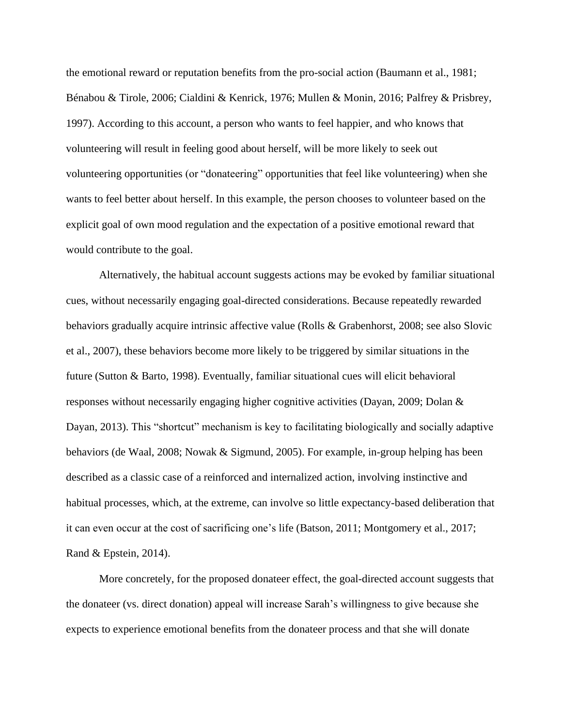the emotional reward or reputation benefits from the pro-social action (Baumann et al., 1981; Bénabou & Tirole, 2006; Cialdini & Kenrick, 1976; Mullen & Monin, 2016; Palfrey & Prisbrey, 1997). According to this account, a person who wants to feel happier, and who knows that volunteering will result in feeling good about herself, will be more likely to seek out volunteering opportunities (or "donateering" opportunities that feel like volunteering) when she wants to feel better about herself. In this example, the person chooses to volunteer based on the explicit goal of own mood regulation and the expectation of a positive emotional reward that would contribute to the goal.

Alternatively, the habitual account suggests actions may be evoked by familiar situational cues, without necessarily engaging goal-directed considerations. Because repeatedly rewarded behaviors gradually acquire intrinsic affective value (Rolls & Grabenhorst, 2008; see also Slovic et al., 2007), these behaviors become more likely to be triggered by similar situations in the future (Sutton & Barto, 1998). Eventually, familiar situational cues will elicit behavioral responses without necessarily engaging higher cognitive activities (Dayan, 2009; Dolan & Dayan, 2013). This "shortcut" mechanism is key to facilitating biologically and socially adaptive behaviors (de Waal, 2008; Nowak & Sigmund, 2005). For example, in-group helping has been described as a classic case of a reinforced and internalized action, involving instinctive and habitual processes, which, at the extreme, can involve so little expectancy-based deliberation that it can even occur at the cost of sacrificing one's life (Batson, 2011; Montgomery et al., 2017; Rand & Epstein, 2014).

More concretely, for the proposed donateer effect, the goal-directed account suggests that the donateer (vs. direct donation) appeal will increase Sarah's willingness to give because she expects to experience emotional benefits from the donateer process and that she will donate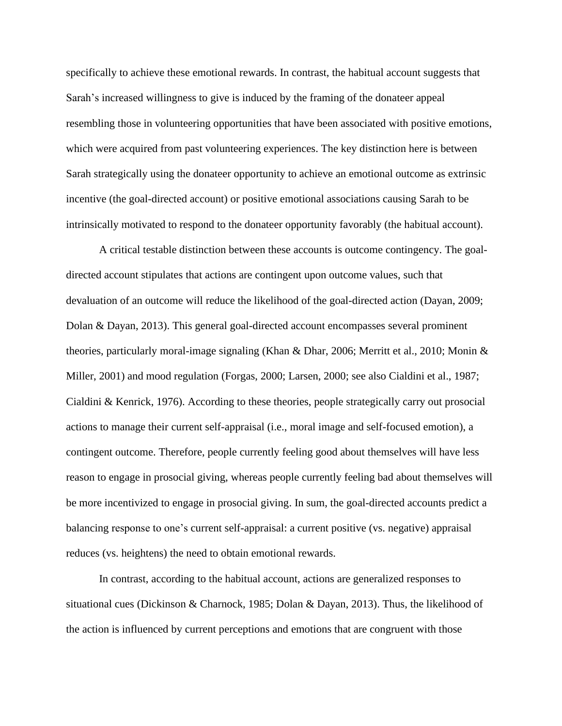specifically to achieve these emotional rewards. In contrast, the habitual account suggests that Sarah's increased willingness to give is induced by the framing of the donateer appeal resembling those in volunteering opportunities that have been associated with positive emotions, which were acquired from past volunteering experiences. The key distinction here is between Sarah strategically using the donateer opportunity to achieve an emotional outcome as extrinsic incentive (the goal-directed account) or positive emotional associations causing Sarah to be intrinsically motivated to respond to the donateer opportunity favorably (the habitual account).

A critical testable distinction between these accounts is outcome contingency. The goaldirected account stipulates that actions are contingent upon outcome values, such that devaluation of an outcome will reduce the likelihood of the goal-directed action (Dayan, 2009; Dolan & Dayan, 2013). This general goal-directed account encompasses several prominent theories, particularly moral-image signaling (Khan & Dhar, 2006; Merritt et al., 2010; Monin & Miller, 2001) and mood regulation (Forgas, 2000; Larsen, 2000; see also Cialdini et al., 1987; Cialdini & Kenrick, 1976). According to these theories, people strategically carry out prosocial actions to manage their current self-appraisal (i.e., moral image and self-focused emotion), a contingent outcome. Therefore, people currently feeling good about themselves will have less reason to engage in prosocial giving, whereas people currently feeling bad about themselves will be more incentivized to engage in prosocial giving. In sum, the goal-directed accounts predict a balancing response to one's current self-appraisal: a current positive (vs. negative) appraisal reduces (vs. heightens) the need to obtain emotional rewards.

In contrast, according to the habitual account, actions are generalized responses to situational cues (Dickinson & Charnock, 1985; Dolan & Dayan, 2013). Thus, the likelihood of the action is influenced by current perceptions and emotions that are congruent with those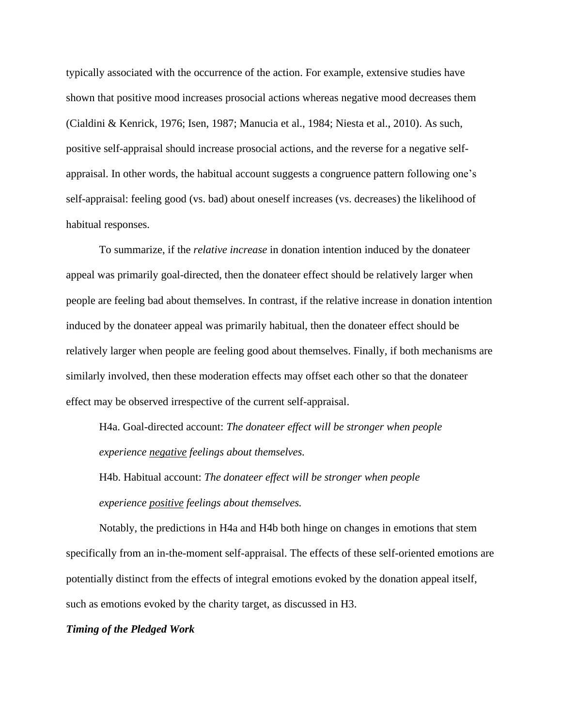typically associated with the occurrence of the action. For example, extensive studies have shown that positive mood increases prosocial actions whereas negative mood decreases them (Cialdini & Kenrick, 1976; Isen, 1987; Manucia et al., 1984; Niesta et al., 2010). As such, positive self-appraisal should increase prosocial actions, and the reverse for a negative selfappraisal. In other words, the habitual account suggests a congruence pattern following one's self-appraisal: feeling good (vs. bad) about oneself increases (vs. decreases) the likelihood of habitual responses.

To summarize, if the *relative increase* in donation intention induced by the donateer appeal was primarily goal-directed, then the donateer effect should be relatively larger when people are feeling bad about themselves. In contrast, if the relative increase in donation intention induced by the donateer appeal was primarily habitual, then the donateer effect should be relatively larger when people are feeling good about themselves. Finally, if both mechanisms are similarly involved, then these moderation effects may offset each other so that the donateer effect may be observed irrespective of the current self-appraisal.

H4a. Goal-directed account: *The donateer effect will be stronger when people experience negative feelings about themselves.*

H4b. Habitual account: *The donateer effect will be stronger when people experience positive feelings about themselves.*

Notably, the predictions in H4a and H4b both hinge on changes in emotions that stem specifically from an in-the-moment self-appraisal. The effects of these self-oriented emotions are potentially distinct from the effects of integral emotions evoked by the donation appeal itself, such as emotions evoked by the charity target, as discussed in H3.

# *Timing of the Pledged Work*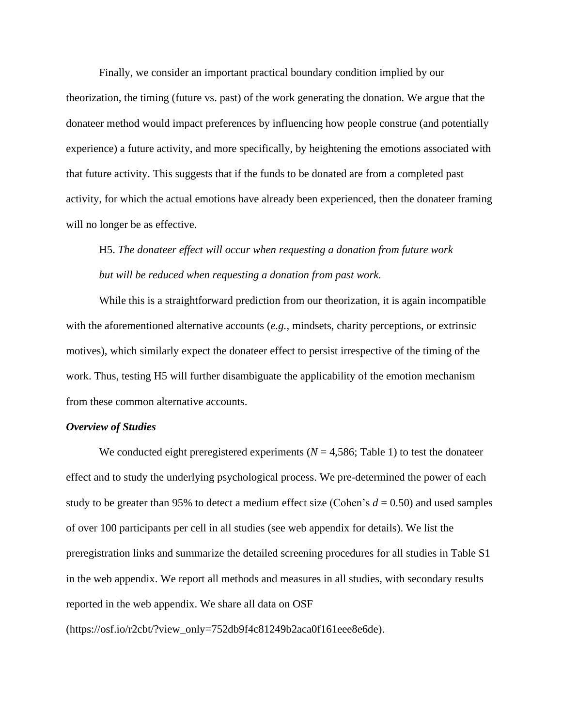Finally, we consider an important practical boundary condition implied by our theorization, the timing (future vs. past) of the work generating the donation. We argue that the donateer method would impact preferences by influencing how people construe (and potentially experience) a future activity, and more specifically, by heightening the emotions associated with that future activity. This suggests that if the funds to be donated are from a completed past activity, for which the actual emotions have already been experienced, then the donateer framing will no longer be as effective.

# H5. *The donateer effect will occur when requesting a donation from future work but will be reduced when requesting a donation from past work.*

While this is a straightforward prediction from our theorization, it is again incompatible with the aforementioned alternative accounts (*e.g.,* mindsets, charity perceptions, or extrinsic motives), which similarly expect the donateer effect to persist irrespective of the timing of the work. Thus, testing H5 will further disambiguate the applicability of the emotion mechanism from these common alternative accounts.

### *Overview of Studies*

We conducted eight preregistered experiments  $(N = 4,586;$  Table 1) to test the donateer effect and to study the underlying psychological process. We pre-determined the power of each study to be greater than 95% to detect a medium effect size (Cohen's  $d = 0.50$ ) and used samples of over 100 participants per cell in all studies (see web appendix for details). We list the preregistration links and summarize the detailed screening procedures for all studies in Table S1 in the web appendix. We report all methods and measures in all studies, with secondary results reported in the web appendix. We share all data on OSF

(https://osf.io/r2cbt/?view\_only=752db9f4c81249b2aca0f161eee8e6de).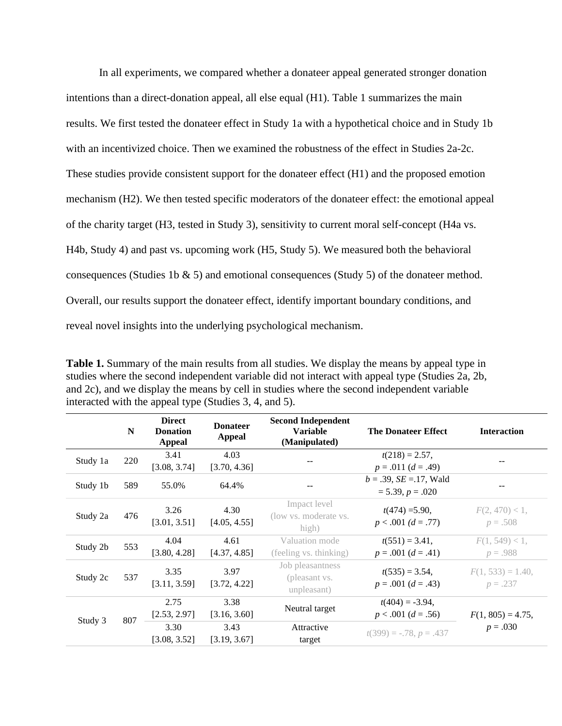In all experiments, we compared whether a donateer appeal generated stronger donation intentions than a direct-donation appeal, all else equal (H1). Table 1 summarizes the main results. We first tested the donateer effect in Study 1a with a hypothetical choice and in Study 1b with an incentivized choice. Then we examined the robustness of the effect in Studies 2a-2c. These studies provide consistent support for the donateer effect (H1) and the proposed emotion mechanism (H2). We then tested specific moderators of the donateer effect: the emotional appeal of the charity target (H3, tested in Study 3), sensitivity to current moral self-concept (H4a vs. H4b, Study 4) and past vs. upcoming work (H5, Study 5). We measured both the behavioral consequences (Studies 1b & 5) and emotional consequences (Study 5) of the donateer method. Overall, our results support the donateer effect, identify important boundary conditions, and reveal novel insights into the underlying psychological mechanism.

**Table 1.** Summary of the main results from all studies. We display the means by appeal type in studies where the second independent variable did not interact with appeal type (Studies 2a, 2b, and 2c), and we display the means by cell in studies where the second independent variable interacted with the appeal type (Studies 3, 4, and 5).

|          | N   | <b>Direct</b><br><b>Donation</b><br>Appeal | <b>Donateer</b><br>Appeal | <b>Second Independent</b><br><b>Variable</b><br>(Manipulated) | <b>The Donateer Effect</b>                          | <b>Interaction</b>               |
|----------|-----|--------------------------------------------|---------------------------|---------------------------------------------------------------|-----------------------------------------------------|----------------------------------|
| Study 1a | 220 | 3.41<br>[3.08, 3.74]                       | 4.03<br>[3.70, 4.36]      |                                                               | $t(218) = 2.57$ ,<br>$p = .011 (d = .49)$           |                                  |
| Study 1b | 589 | 55.0%                                      | 64.4%                     |                                                               | $b = .39$ , $SE = .17$ , Wald<br>$= 5.39, p = .020$ |                                  |
| Study 2a | 476 | 3.26<br>[3.01, 3.51]                       | 4.30<br>[4.05, 4.55]      | Impact level<br>(low vs. moderate vs.<br>high)                | $t(474) = 5.90$ ,<br>$p < .001$ (d = .77)           | $F(2, 470) < 1$ ,<br>$p=.508$    |
| Study 2b | 553 | 4.04<br>[3.80, 4.28]                       | 4.61<br>[4.37, 4.85]      | Valuation mode<br>(feeling vs. thinking)                      | $t(551) = 3.41,$<br>$p = .001$ $(d = .41)$          | $F(1, 549) < 1$ ,<br>$p = .988$  |
| Study 2c | 537 | 3.35<br>[3.11, 3.59]                       | 3.97<br>[3.72, 4.22]      | Job pleasantness<br>(pleasant vs.<br>unpleasant)              | $t(535) = 3.54$ ,<br>$p = .001$ $(d = .43)$         | $F(1, 533) = 1.40$ ,<br>$p=.237$ |
| Study 3  | 807 | 2.75<br>[2.53, 2.97]                       | 3.38<br>[3.16, 3.60]      | Neutral target                                                | $t(404) = -3.94$ ,<br>$p < .001$ (d = .56)          | $F(1, 805) = 4.75$ ,             |
|          |     | 3.30<br>[3.08, 3.52]                       | 3.43<br>[3.19, 3.67]      | Attractive<br>target                                          | $t(399) = -.78, p = .437$                           | $p = .030$                       |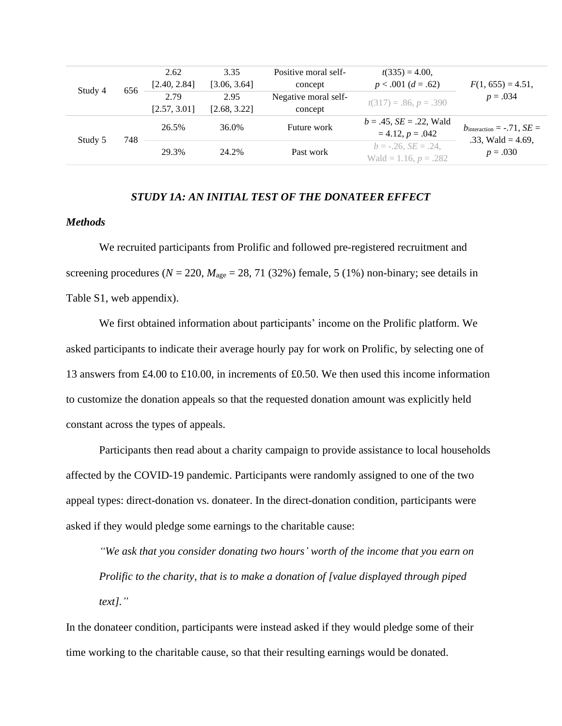|         |     | 2.62         | 3.35         | Positive moral self- | $t(335) = 4.00$               |                                       |
|---------|-----|--------------|--------------|----------------------|-------------------------------|---------------------------------------|
|         | 656 | [2.40, 2.84] | [3.06, 3.64] | concept              | $p < .001$ $(d = .62)$        | $F(1, 655) = 4.51,$                   |
| Study 4 |     | 2.79         | 2.95         | Negative moral self- | $t(317) = .86, p = .390$      | $p = .034$                            |
|         |     | [2.57, 3.01] | [2.68, 3.22] | concept              |                               |                                       |
|         |     | 26.5%        | 36.0%        | Future work          | $b = .45$ , $SE = .22$ , Wald | $b_{\text{interaction}} = -.71, SE =$ |
| Study 5 | 748 |              |              |                      | $= 4.12, p = .042$            | .33, Wald = $4.69$ ,                  |
|         |     | 29.3%        | 24.2%        | Past work            | $b = -.26$ , $SE = .24$ .     | $p = .030$                            |
|         |     |              |              |                      | Wald = 1.16, $p = .282$       |                                       |

# *STUDY 1A: AN INITIAL TEST OF THE DONATEER EFFECT*

# *Methods*

We recruited participants from Prolific and followed pre-registered recruitment and screening procedures ( $N = 220$ ,  $M_{\text{age}} = 28$ , 71 (32%) female, 5 (1%) non-binary; see details in Table S1, web appendix).

We first obtained information about participants' income on the Prolific platform. We asked participants to indicate their average hourly pay for work on Prolific, by selecting one of 13 answers from £4.00 to £10.00, in increments of £0.50. We then used this income information to customize the donation appeals so that the requested donation amount was explicitly held constant across the types of appeals.

Participants then read about a charity campaign to provide assistance to local households affected by the COVID-19 pandemic. Participants were randomly assigned to one of the two appeal types: direct-donation vs. donateer. In the direct-donation condition, participants were asked if they would pledge some earnings to the charitable cause:

*"We ask that you consider donating two hours' worth of the income that you earn on Prolific to the charity, that is to make a donation of [value displayed through piped text]."*

In the donateer condition, participants were instead asked if they would pledge some of their time working to the charitable cause, so that their resulting earnings would be donated.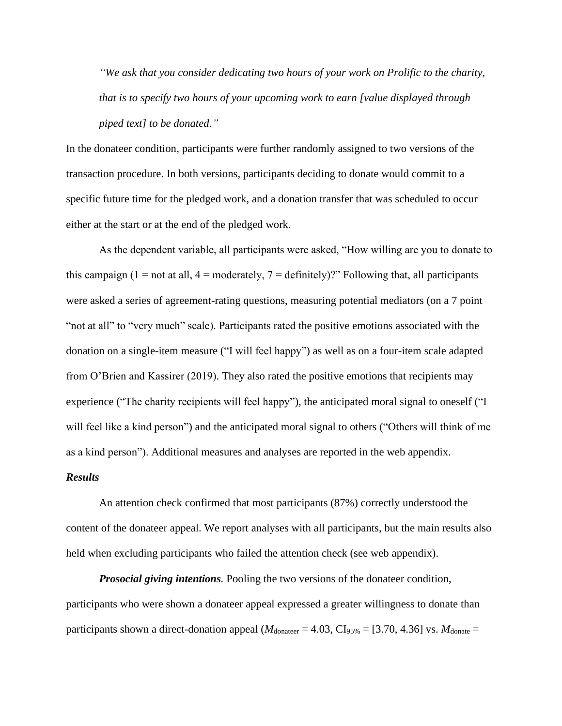*"We ask that you consider dedicating two hours of your work on Prolific to the charity, that is to specify two hours of your upcoming work to earn [value displayed through piped text] to be donated."*

In the donateer condition, participants were further randomly assigned to two versions of the transaction procedure. In both versions, participants deciding to donate would commit to a specific future time for the pledged work, and a donation transfer that was scheduled to occur either at the start or at the end of the pledged work.

As the dependent variable, all participants were asked, "How willing are you to donate to this campaign (1 = not at all, 4 = moderately, 7 = definitely)?" Following that, all participants were asked a series of agreement-rating questions, measuring potential mediators (on a 7 point "not at all" to "very much" scale). Participants rated the positive emotions associated with the donation on a single-item measure ("I will feel happy") as well as on a four-item scale adapted from O'Brien and Kassirer (2019). They also rated the positive emotions that recipients may experience ("The charity recipients will feel happy"), the anticipated moral signal to oneself ("I will feel like a kind person") and the anticipated moral signal to others ("Others will think of me as a kind person"). Additional measures and analyses are reported in the web appendix.

#### *Results*

An attention check confirmed that most participants (87%) correctly understood the content of the donateer appeal. We report analyses with all participants, but the main results also held when excluding participants who failed the attention check (see web appendix).

*Prosocial giving intentions.* Pooling the two versions of the donateer condition, participants who were shown a donateer appeal expressed a greater willingness to donate than participants shown a direct-donation appeal ( $M_{\text{donater}} = 4.03$ , CI<sub>95%</sub> = [3.70, 4.36] vs.  $M_{\text{donate}} =$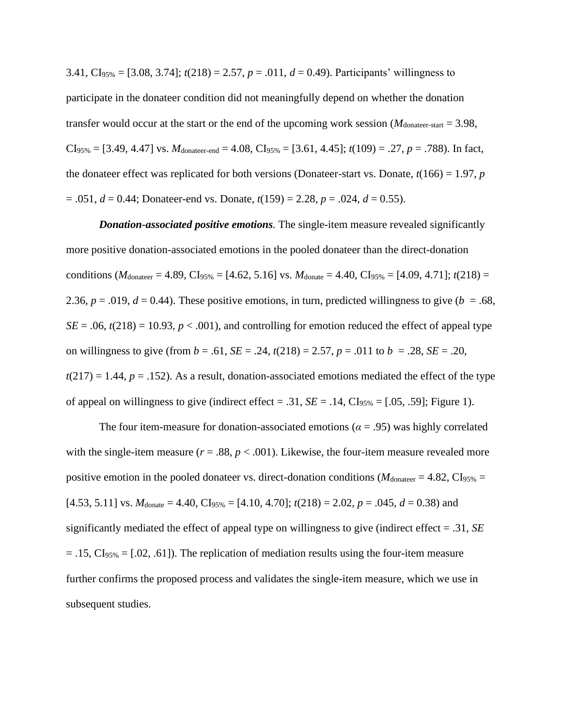3.41, CI95% = [3.08, 3.74]; *t*(218) = 2.57, *p* = .011, *d* = 0.49). Participants' willingness to participate in the donateer condition did not meaningfully depend on whether the donation transfer would occur at the start or the end of the upcoming work session  $(M_{\text{donater-start}} = 3.98$ ,  $CI<sub>95%</sub> = [3.49, 4.47]$  vs.  $M<sub>donater-end</sub> = 4.08, CI<sub>95%</sub> = [3.61, 4.45];  $t(109) = .27, p = .788$ . In fact,$ the donateer effect was replicated for both versions (Donateer-start vs. Donate,  $t(166) = 1.97$ , *p*  $= .051, d = 0.44$ ; Donateer-end vs. Donate,  $t(159) = 2.28, p = .024, d = 0.55$ ).

*Donation-associated positive emotions.* The single-item measure revealed significantly more positive donation-associated emotions in the pooled donateer than the direct-donation conditions ( $M_{\text{donater}} = 4.89$ , CI<sub>95%</sub> = [4.62, 5.16] vs.  $M_{\text{donate}} = 4.40$ , CI<sub>95%</sub> = [4.09, 4.71];  $t(218)$  = 2.36,  $p = .019$ ,  $d = 0.44$ ). These positive emotions, in turn, predicted willingness to give ( $b = .68$ ,  $SE = .06$ ,  $t(218) = 10.93$ ,  $p < .001$ ), and controlling for emotion reduced the effect of appeal type on willingness to give (from  $b = .61$ ,  $SE = .24$ ,  $t(218) = 2.57$ ,  $p = .011$  to  $b = .28$ ,  $SE = .20$ ,  $t(217) = 1.44$ ,  $p = .152$ ). As a result, donation-associated emotions mediated the effect of the type of appeal on willingness to give (indirect effect = .31,  $SE = .14$ ,  $CI_{95\%} = [.05, .59]$ ; Figure 1).

The four item-measure for donation-associated emotions ( $\alpha$  = .95) was highly correlated with the single-item measure ( $r = .88$ ,  $p < .001$ ). Likewise, the four-item measure revealed more positive emotion in the pooled donateer vs. direct-donation conditions ( $M_{\text{donater}} = 4.82$ , CI<sub>95%</sub> =  $[4.53, 5.11]$  vs.  $M_{\text{donate}} = 4.40$ ,  $CI_{95\%} = [4.10, 4.70]$ ;  $t(218) = 2.02$ ,  $p = .045$ ,  $d = 0.38$ ) and significantly mediated the effect of appeal type on willingness to give (indirect effect = .31, *SE*  $= .15, \text{CI}_{95\%} = [.02, .61]$ . The replication of mediation results using the four-item measure further confirms the proposed process and validates the single-item measure, which we use in subsequent studies.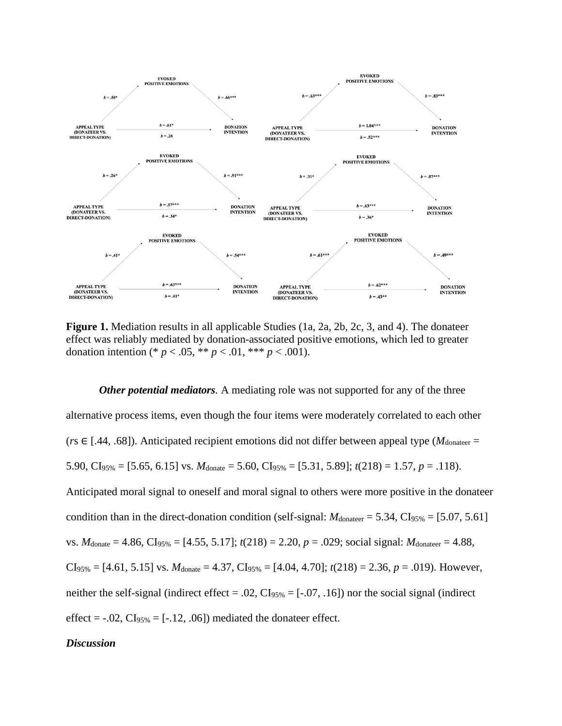

**Figure 1.** Mediation results in all applicable Studies (1a, 2a, 2b, 2c, 3, and 4). The donateer effect was reliably mediated by donation-associated positive emotions, which led to greater donation intention (\*  $p < .05$ , \*\*  $p < .01$ , \*\*\*  $p < .001$ ).

*Other potential mediators.* A mediating role was not supported for any of the three alternative process items, even though the four items were moderately correlated to each other ( $r s \in [.44, .68]$ ). Anticipated recipient emotions did not differ between appeal type ( $M_{\text{donater}} =$ 5.90, CI<sub>95%</sub> = [5.65, 6.15] vs.  $M_{\text{donate}} = 5.60$ , CI<sub>95%</sub> = [5.31, 5.89];  $t(218) = 1.57$ ,  $p = .118$ ). Anticipated moral signal to oneself and moral signal to others were more positive in the donateer condition than in the direct-donation condition (self-signal:  $M_{\text{donater}} = 5.34$ ,  $CI_{95\%} = [5.07, 5.61]$ vs.  $M_{\text{donate}} = 4.86$ , CI<sub>95%</sub> = [4.55, 5.17];  $t(218) = 2.20$ ,  $p = .029$ ; social signal:  $M_{\text{donater}} = 4.88$ ,  $CI<sub>95%</sub> = [4.61, 5.15]$  vs.  $M<sub>donate</sub> = 4.37, CI<sub>95%</sub> = [4.04, 4.70]; t(218) = 2.36, p = .019$ . However, neither the self-signal (indirect effect = .02,  $CI<sub>95%</sub> = [-.07, .16]$ ) nor the social signal (indirect effect =  $-.02$ ,  $CI<sub>95%</sub> = [-.12, .06]$  mediated the donateer effect.

## *Discussion*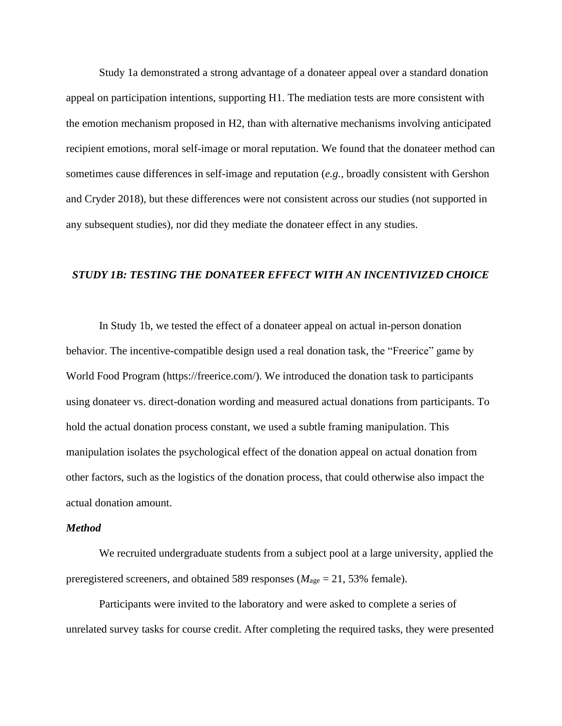Study 1a demonstrated a strong advantage of a donateer appeal over a standard donation appeal on participation intentions, supporting H1. The mediation tests are more consistent with the emotion mechanism proposed in H2, than with alternative mechanisms involving anticipated recipient emotions, moral self-image or moral reputation. We found that the donateer method can sometimes cause differences in self-image and reputation (*e.g.,* broadly consistent with Gershon and Cryder 2018), but these differences were not consistent across our studies (not supported in any subsequent studies), nor did they mediate the donateer effect in any studies.

## *STUDY 1B: TESTING THE DONATEER EFFECT WITH AN INCENTIVIZED CHOICE*

In Study 1b, we tested the effect of a donateer appeal on actual in-person donation behavior. The incentive-compatible design used a real donation task, the "Freerice" game by World Food Program [\(https://freerice.com/\)](https://freerice.com/). We introduced the donation task to participants using donateer vs. direct-donation wording and measured actual donations from participants. To hold the actual donation process constant, we used a subtle framing manipulation. This manipulation isolates the psychological effect of the donation appeal on actual donation from other factors, such as the logistics of the donation process, that could otherwise also impact the actual donation amount.

#### *Method*

We recruited undergraduate students from a subject pool at a large university, applied the preregistered screeners, and obtained 589 responses ( $M_{\text{age}} = 21,53\%$  female).

Participants were invited to the laboratory and were asked to complete a series of unrelated survey tasks for course credit. After completing the required tasks, they were presented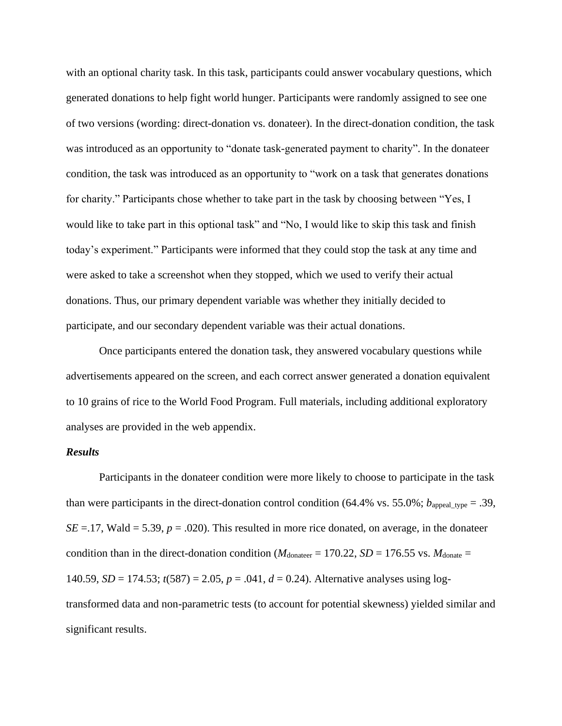with an optional charity task. In this task, participants could answer vocabulary questions, which generated donations to help fight world hunger. Participants were randomly assigned to see one of two versions (wording: direct-donation vs. donateer). In the direct-donation condition, the task was introduced as an opportunity to "donate task-generated payment to charity". In the donateer condition, the task was introduced as an opportunity to "work on a task that generates donations for charity." Participants chose whether to take part in the task by choosing between "Yes, I would like to take part in this optional task" and "No, I would like to skip this task and finish today's experiment." Participants were informed that they could stop the task at any time and were asked to take a screenshot when they stopped, which we used to verify their actual donations. Thus, our primary dependent variable was whether they initially decided to participate, and our secondary dependent variable was their actual donations.

Once participants entered the donation task, they answered vocabulary questions while advertisements appeared on the screen, and each correct answer generated a donation equivalent to 10 grains of rice to the World Food Program. Full materials, including additional exploratory analyses are provided in the web appendix.

# *Results*

Participants in the donateer condition were more likely to choose to participate in the task than were participants in the direct-donation control condition (64.4% vs. 55.0%;  $b_{\text{append\_type}} = .39$ ,  $SE = 17$ , Wald = 5.39,  $p = .020$ ). This resulted in more rice donated, on average, in the donateer condition than in the direct-donation condition ( $M_{\text{donater}} = 170.22$ ,  $SD = 176.55$  vs.  $M_{\text{donate}} =$ 140.59, *SD* = 174.53; *t*(587) = 2.05, *p* = .041, *d* = 0.24). Alternative analyses using logtransformed data and non-parametric tests (to account for potential skewness) yielded similar and significant results.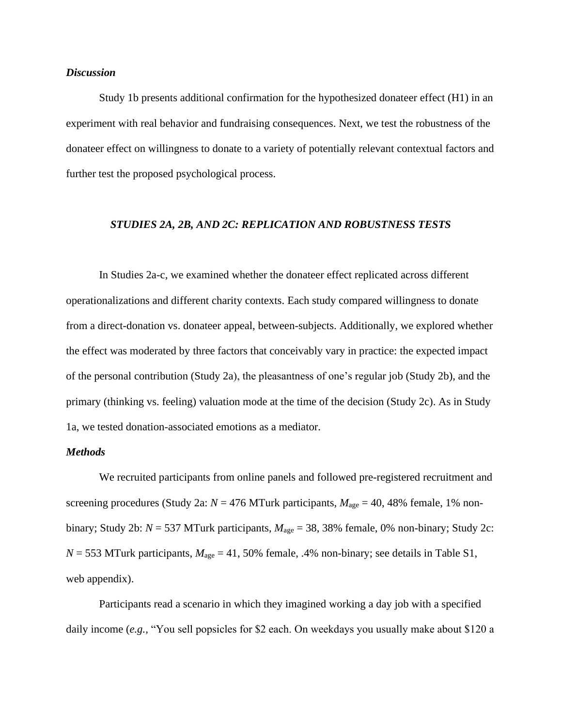# *Discussion*

Study 1b presents additional confirmation for the hypothesized donateer effect (H1) in an experiment with real behavior and fundraising consequences. Next, we test the robustness of the donateer effect on willingness to donate to a variety of potentially relevant contextual factors and further test the proposed psychological process.

## *STUDIES 2A, 2B, AND 2C: REPLICATION AND ROBUSTNESS TESTS*

In Studies 2a-c, we examined whether the donateer effect replicated across different operationalizations and different charity contexts. Each study compared willingness to donate from a direct-donation vs. donateer appeal, between-subjects. Additionally, we explored whether the effect was moderated by three factors that conceivably vary in practice: the expected impact of the personal contribution (Study 2a), the pleasantness of one's regular job (Study 2b), and the primary (thinking vs. feeling) valuation mode at the time of the decision (Study 2c). As in Study 1a, we tested donation-associated emotions as a mediator.

#### *Methods*

We recruited participants from online panels and followed pre-registered recruitment and screening procedures (Study 2a:  $N = 476$  MTurk participants,  $M_{\text{age}} = 40,48\%$  female, 1% nonbinary; Study 2b:  $N = 537$  MTurk participants,  $M_{\text{age}} = 38,38\%$  female, 0% non-binary; Study 2c:  $N = 553$  MTurk participants,  $M_{\text{age}} = 41,50\%$  female, .4% non-binary; see details in Table S1, web appendix).

Participants read a scenario in which they imagined working a day job with a specified daily income (*e.g.,* "You sell popsicles for \$2 each. On weekdays you usually make about \$120 a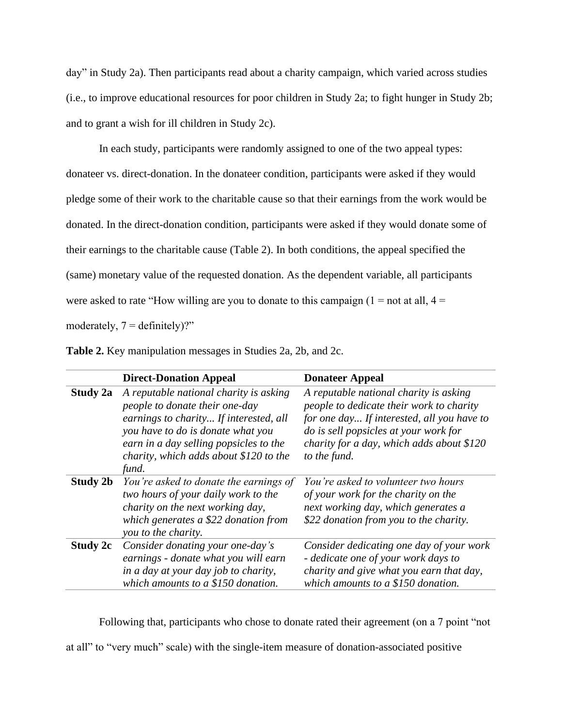day" in Study 2a). Then participants read about a charity campaign, which varied across studies (i.e., to improve educational resources for poor children in Study 2a; to fight hunger in Study 2b; and to grant a wish for ill children in Study 2c).

In each study, participants were randomly assigned to one of the two appeal types: donateer vs. direct-donation. In the donateer condition, participants were asked if they would pledge some of their work to the charitable cause so that their earnings from the work would be donated. In the direct-donation condition, participants were asked if they would donate some of their earnings to the charitable cause (Table 2). In both conditions, the appeal specified the (same) monetary value of the requested donation. As the dependent variable, all participants were asked to rate "How willing are you to donate to this campaign  $(1 = not at all, 4 = 1)$ moderately,  $7 =$  definitely)?"

|          | <b>Direct-Donation Appeal</b>                                                                                                                                                                                                                        | <b>Donateer Appeal</b>                                                                                                                                                                                                                 |
|----------|------------------------------------------------------------------------------------------------------------------------------------------------------------------------------------------------------------------------------------------------------|----------------------------------------------------------------------------------------------------------------------------------------------------------------------------------------------------------------------------------------|
| Study 2a | A reputable national charity is asking<br>people to donate their one-day<br>earnings to charity If interested, all<br>you have to do is donate what you<br>earn in a day selling popsicles to the<br>charity, which adds about \$120 to the<br>fund. | A reputable national charity is asking<br>people to dedicate their work to charity<br>for one day If interested, all you have to<br>do is sell popsicles at your work for<br>charity for a day, which adds about \$120<br>to the fund. |
| Study 2b | You're asked to donate the earnings of<br>two hours of your daily work to the<br>charity on the next working day,<br>which generates a \$22 donation from<br>you to the charity.                                                                     | You're asked to volunteer two hours<br>of your work for the charity on the<br>next working day, which generates a<br>\$22 donation from you to the charity.                                                                            |
| Study 2c | Consider donating your one-day's<br>earnings - donate what you will earn<br>in a day at your day job to charity,<br>which amounts to a \$150 donation.                                                                                               | Consider dedicating one day of your work<br>- dedicate one of your work days to<br>charity and give what you earn that day,<br>which amounts to a \$150 donation.                                                                      |

**Table 2.** Key manipulation messages in Studies 2a, 2b, and 2c.

Following that, participants who chose to donate rated their agreement (on a 7 point "not at all" to "very much" scale) with the single-item measure of donation-associated positive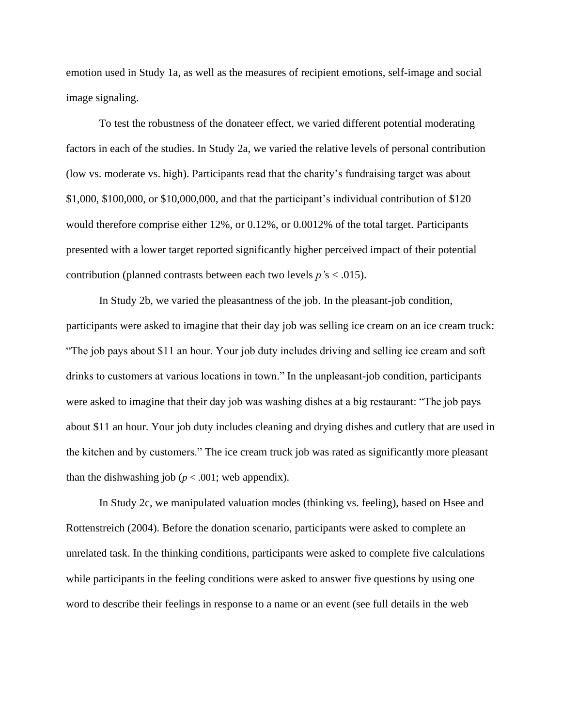emotion used in Study 1a, as well as the measures of recipient emotions, self-image and social image signaling.

To test the robustness of the donateer effect, we varied different potential moderating factors in each of the studies. In Study 2a, we varied the relative levels of personal contribution (low vs. moderate vs. high). Participants read that the charity's fundraising target was about \$1,000, \$100,000, or \$10,000,000, and that the participant's individual contribution of \$120 would therefore comprise either 12%, or 0.12%, or 0.0012% of the total target. Participants presented with a lower target reported significantly higher perceived impact of their potential contribution (planned contrasts between each two levels *p'*s < .015).

In Study 2b, we varied the pleasantness of the job. In the pleasant-job condition, participants were asked to imagine that their day job was selling ice cream on an ice cream truck: "The job pays about \$11 an hour. Your job duty includes driving and selling ice cream and soft drinks to customers at various locations in town." In the unpleasant-job condition, participants were asked to imagine that their day job was washing dishes at a big restaurant: "The job pays about \$11 an hour. Your job duty includes cleaning and drying dishes and cutlery that are used in the kitchen and by customers." The ice cream truck job was rated as significantly more pleasant than the dishwashing job ( $p < .001$ ; web appendix).

In Study 2c, we manipulated valuation modes (thinking vs. feeling), based on Hsee and Rottenstreich (2004). Before the donation scenario, participants were asked to complete an unrelated task. In the thinking conditions, participants were asked to complete five calculations while participants in the feeling conditions were asked to answer five questions by using one word to describe their feelings in response to a name or an event (see full details in the web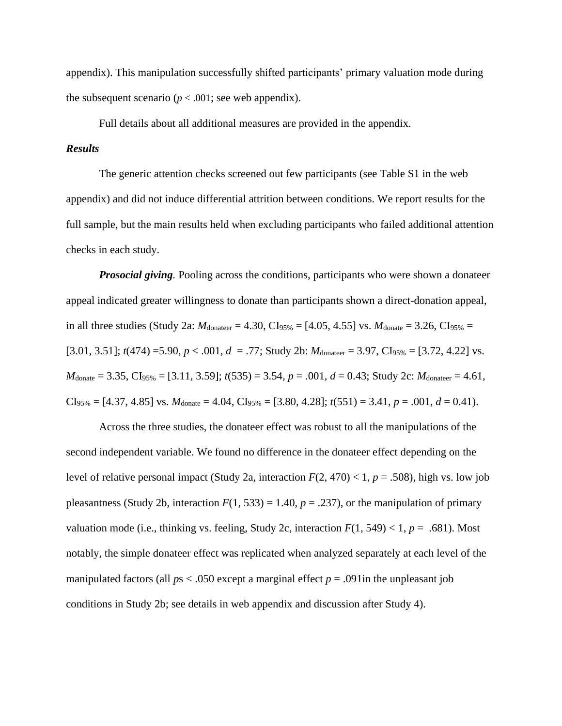appendix). This manipulation successfully shifted participants' primary valuation mode during the subsequent scenario ( $p < .001$ ; see web appendix).

Full details about all additional measures are provided in the appendix.

# *Results*

The generic attention checks screened out few participants (see Table S1 in the web appendix) and did not induce differential attrition between conditions. We report results for the full sample, but the main results held when excluding participants who failed additional attention checks in each study.

*Prosocial giving.* Pooling across the conditions, participants who were shown a donateer appeal indicated greater willingness to donate than participants shown a direct-donation appeal, in all three studies (Study 2a:  $M_{\text{donater}} = 4.30$ , CI<sub>95%</sub> = [4.05, 4.55] vs.  $M_{\text{donate}} = 3.26$ , CI<sub>95%</sub> = [3.01, 3.51];  $t(474) = 5.90, p < .001, d = .77$ ; Study 2b:  $M_{\text{donater}} = 3.97, \text{C}I_{95\%} = [3.72, 4.22]$  vs.  $M_{\text{donate}} = 3.35, \text{CI}_{95\%} = [3.11, 3.59]; t(535) = 3.54, p = .001, d = 0.43; \text{Study 2c: } M_{\text{donater}} = 4.61,$  $CI_{95\%} = [4.37, 4.85]$  vs.  $M_{\text{donate}} = 4.04, \text{CI}_{95\%} = [3.80, 4.28]; t(551) = 3.41, p = .001, d = 0.41$ .

Across the three studies, the donateer effect was robust to all the manipulations of the second independent variable. We found no difference in the donateer effect depending on the level of relative personal impact (Study 2a, interaction  $F(2, 470) < 1$ ,  $p = .508$ ), high vs. low job pleasantness (Study 2b, interaction  $F(1, 533) = 1.40$ ,  $p = .237$ ), or the manipulation of primary valuation mode (i.e., thinking vs. feeling, Study 2c, interaction  $F(1, 549) < 1, p = .681$ ). Most notably, the simple donateer effect was replicated when analyzed separately at each level of the manipulated factors (all  $ps < .050$  except a marginal effect  $p = .091$  in the unpleasant job conditions in Study 2b; see details in web appendix and discussion after Study 4).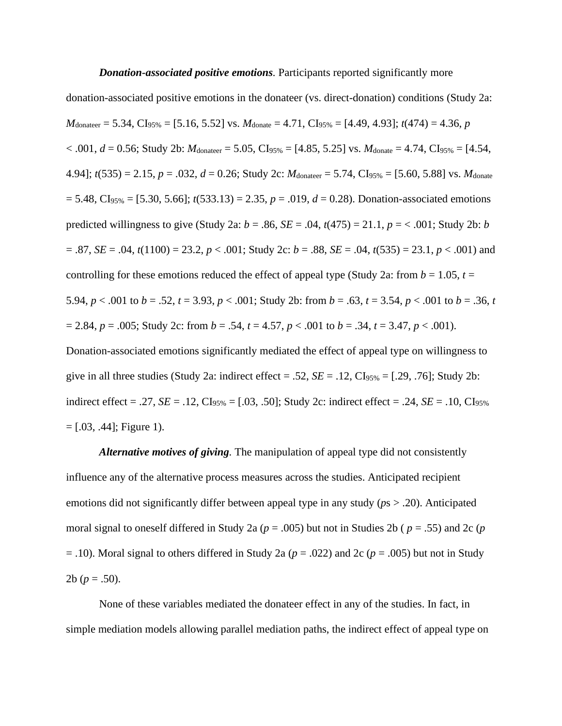#### *Donation-associated positive emotions.* Participants reported significantly more

donation-associated positive emotions in the donateer (vs. direct-donation) conditions (Study 2a:  $M_{\text{donater}} = 5.34, \text{CI}_{95\%} = [5.16, 5.52] \text{ vs. } M_{\text{donate}} = 4.71, \text{CI}_{95\%} = [4.49, 4.93]; t(474) = 4.36, p$  $< .001, d = 0.56$ ; Study 2b: *M*<sub>donateer</sub> = 5.05, CI<sub>95%</sub> = [4.85, 5.25] vs. *M*<sub>donate</sub> = 4.74, CI<sub>95%</sub> = [4.54, 4.94]; *t*(535) = 2.15, *p* = .032, *d* = 0.26; Study 2c: *M*donateer = 5.74, CI95% = [5.60, 5.88] vs. *M*donate  $= 5.48$ , CI<sub>95%</sub> = [5.30, 5.66];  $t(533.13) = 2.35$ ,  $p = .019$ ,  $d = 0.28$ ). Donation-associated emotions predicted willingness to give (Study 2a: *b* = .86, *SE* = .04, *t*(475) = 21.1, *p* = < .001; Study 2b: *b* = .87, *SE* = .04, *t*(1100) = 23.2, *p* < .001; Study 2c: *b* = .88, *SE* = .04, *t*(535) = 23.1, *p* < .001) and controlling for these emotions reduced the effect of appeal type (Study 2a: from  $b = 1.05$ ,  $t =$ 5.94,  $p < .001$  to  $b = .52$ ,  $t = 3.93$ ,  $p < .001$ ; Study 2b: from  $b = .63$ ,  $t = 3.54$ ,  $p < .001$  to  $b = .36$ ,  $t = 3.54$  $= 2.84, p = .005$ ; Study 2c: from  $b = .54, t = 4.57, p < .001$  to  $b = .34, t = 3.47, p < .001$ ). Donation-associated emotions significantly mediated the effect of appeal type on willingness to give in all three studies (Study 2a: indirect effect = .52,  $SE = .12$ ,  $CI<sub>95%</sub> = [.29, .76]$ ; Study 2b: indirect effect = .27, *SE* = .12, CI<sub>95%</sub> = [.03, .50]; Study 2c: indirect effect = .24, *SE* = .10, CI<sub>95%</sub>

 $=[.03, .44]$ ; Figure 1).

*Alternative motives of giving.* The manipulation of appeal type did not consistently influence any of the alternative process measures across the studies. Anticipated recipient emotions did not significantly differ between appeal type in any study (*p*s > .20). Anticipated moral signal to oneself differed in Study 2a (*p* = .005) but not in Studies 2b ( *p* = .55) and 2c (*p* = .10). Moral signal to others differed in Study 2a (*p* = .022) and 2c (*p* = .005) but not in Study 2b ( $p = .50$ ).

None of these variables mediated the donateer effect in any of the studies. In fact, in simple mediation models allowing parallel mediation paths, the indirect effect of appeal type on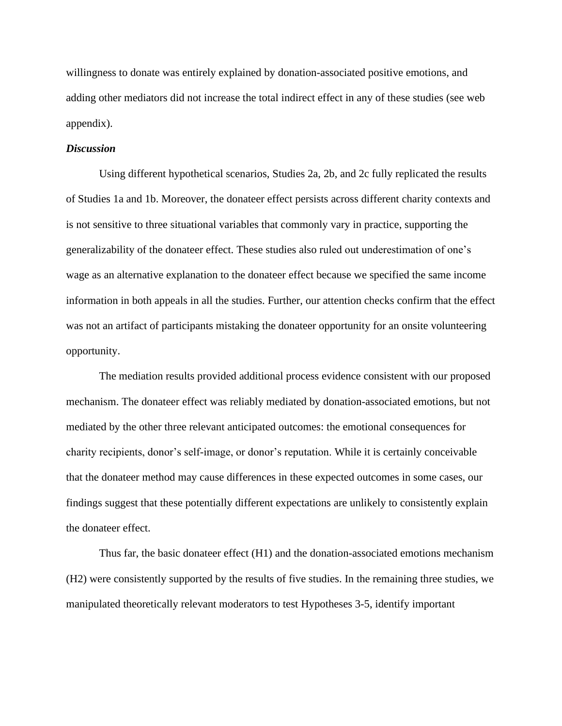willingness to donate was entirely explained by donation-associated positive emotions, and adding other mediators did not increase the total indirect effect in any of these studies (see web appendix).

# *Discussion*

Using different hypothetical scenarios, Studies 2a, 2b, and 2c fully replicated the results of Studies 1a and 1b. Moreover, the donateer effect persists across different charity contexts and is not sensitive to three situational variables that commonly vary in practice, supporting the generalizability of the donateer effect. These studies also ruled out underestimation of one's wage as an alternative explanation to the donateer effect because we specified the same income information in both appeals in all the studies. Further, our attention checks confirm that the effect was not an artifact of participants mistaking the donateer opportunity for an onsite volunteering opportunity.

The mediation results provided additional process evidence consistent with our proposed mechanism. The donateer effect was reliably mediated by donation-associated emotions, but not mediated by the other three relevant anticipated outcomes: the emotional consequences for charity recipients, donor's self-image, or donor's reputation. While it is certainly conceivable that the donateer method may cause differences in these expected outcomes in some cases, our findings suggest that these potentially different expectations are unlikely to consistently explain the donateer effect.

Thus far, the basic donateer effect (H1) and the donation-associated emotions mechanism (H2) were consistently supported by the results of five studies. In the remaining three studies, we manipulated theoretically relevant moderators to test Hypotheses 3-5, identify important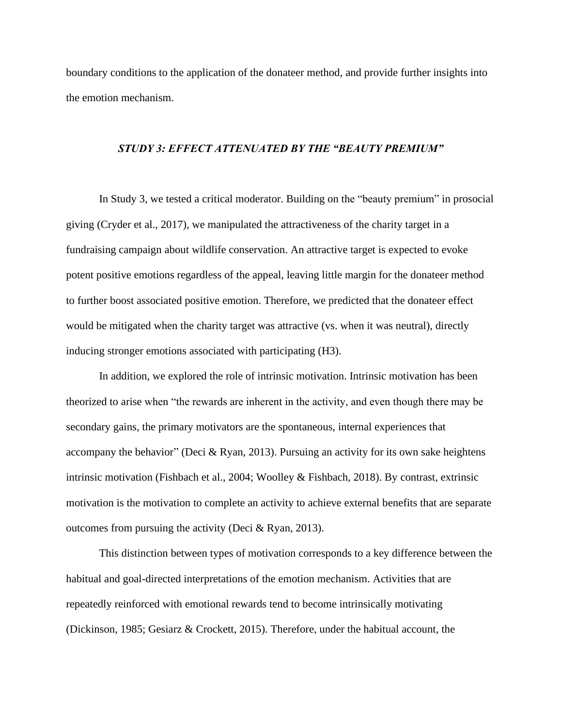boundary conditions to the application of the donateer method, and provide further insights into the emotion mechanism.

#### *STUDY 3: EFFECT ATTENUATED BY THE "BEAUTY PREMIUM"*

In Study 3, we tested a critical moderator. Building on the "beauty premium" in prosocial giving (Cryder et al., 2017), we manipulated the attractiveness of the charity target in a fundraising campaign about wildlife conservation. An attractive target is expected to evoke potent positive emotions regardless of the appeal, leaving little margin for the donateer method to further boost associated positive emotion. Therefore, we predicted that the donateer effect would be mitigated when the charity target was attractive (vs. when it was neutral), directly inducing stronger emotions associated with participating (H3).

In addition, we explored the role of intrinsic motivation. Intrinsic motivation has been theorized to arise when "the rewards are inherent in the activity, and even though there may be secondary gains, the primary motivators are the spontaneous, internal experiences that accompany the behavior" (Deci & Ryan, 2013). Pursuing an activity for its own sake heightens intrinsic motivation (Fishbach et al., 2004; Woolley & Fishbach, 2018). By contrast, extrinsic motivation is the motivation to complete an activity to achieve external benefits that are separate outcomes from pursuing the activity (Deci & Ryan, 2013).

This distinction between types of motivation corresponds to a key difference between the habitual and goal-directed interpretations of the emotion mechanism. Activities that are repeatedly reinforced with emotional rewards tend to become intrinsically motivating (Dickinson, 1985; Gesiarz & Crockett, 2015). Therefore, under the habitual account, the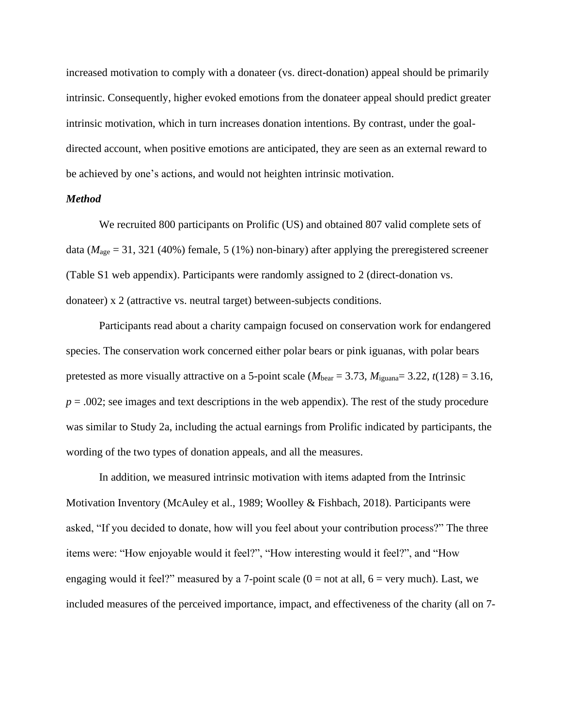increased motivation to comply with a donateer (vs. direct-donation) appeal should be primarily intrinsic. Consequently, higher evoked emotions from the donateer appeal should predict greater intrinsic motivation, which in turn increases donation intentions. By contrast, under the goaldirected account, when positive emotions are anticipated, they are seen as an external reward to be achieved by one's actions, and would not heighten intrinsic motivation.

### *Method*

We recruited 800 participants on Prolific (US) and obtained 807 valid complete sets of data ( $M<sub>age</sub> = 31, 321$  (40%) female, 5 (1%) non-binary) after applying the preregistered screener (Table S1 web appendix). Participants were randomly assigned to 2 (direct-donation vs. donateer) x 2 (attractive vs. neutral target) between-subjects conditions.

Participants read about a charity campaign focused on conservation work for endangered species. The conservation work concerned either polar bears or pink iguanas, with polar bears pretested as more visually attractive on a 5-point scale ( $M_{\text{bear}} = 3.73$ ,  $M_{\text{iguana}} = 3.22$ ,  $t(128) = 3.16$ ,  $p = 0.002$ ; see images and text descriptions in the web appendix). The rest of the study procedure was similar to Study 2a, including the actual earnings from Prolific indicated by participants, the wording of the two types of donation appeals, and all the measures.

In addition, we measured intrinsic motivation with items adapted from the Intrinsic Motivation Inventory (McAuley et al., 1989; Woolley & Fishbach, 2018). Participants were asked, "If you decided to donate, how will you feel about your contribution process?" The three items were: "How enjoyable would it feel?", "How interesting would it feel?", and "How engaging would it feel?" measured by a 7-point scale  $(0 = not at all, 6 = very much)$ . Last, we included measures of the perceived importance, impact, and effectiveness of the charity (all on 7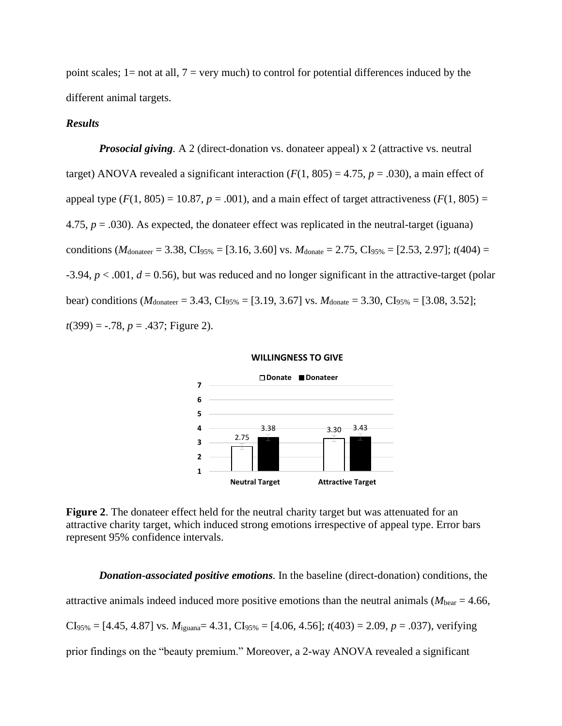point scales;  $1=$  not at all,  $7=$  very much) to control for potential differences induced by the different animal targets.

## *Results*

*Prosocial giving*. A 2 (direct-donation vs. donateer appeal) x 2 (attractive vs. neutral target) ANOVA revealed a significant interaction  $(F(1, 805) = 4.75, p = .030)$ , a main effect of appeal type  $(F(1, 805) = 10.87, p = .001)$ , and a main effect of target attractiveness  $(F(1, 805) =$ 4.75,  $p = .030$ ). As expected, the donateer effect was replicated in the neutral-target (iguana) conditions ( $M_{\text{donater}} = 3.38$ , CI<sub>95%</sub> = [3.16, 3.60] vs.  $M_{\text{donate}} = 2.75$ , CI<sub>95%</sub> = [2.53, 2.97]; *t*(404) =  $-3.94, p < .001, d = 0.56$ ), but was reduced and no longer significant in the attractive-target (polar bear) conditions ( $M_{\text{donater}} = 3.43$ , CI<sub>95%</sub> = [3.19, 3.67] vs.  $M_{\text{donate}} = 3.30$ , CI<sub>95%</sub> = [3.08, 3.52]; *t*(399) = -.78, *p* = .437; Figure 2).

#### **WILLINGNESS TO GIVE**



**Figure 2.** The donateer effect held for the neutral charity target but was attenuated for an attractive charity target, which induced strong emotions irrespective of appeal type. Error bars represent 95% confidence intervals.

*Donation-associated positive emotions.* In the baseline (direct-donation) conditions, the attractive animals indeed induced more positive emotions than the neutral animals ( $M_{\text{bear}} = 4.66$ ,  $CI<sub>95%</sub> = [4.45, 4.87]$  vs.  $M<sub>iguana</sub> = 4.31, CI<sub>95%</sub> = [4.06, 4.56]; t(403) = 2.09, p = .037$ , verifying prior findings on the "beauty premium." Moreover, a 2-way ANOVA revealed a significant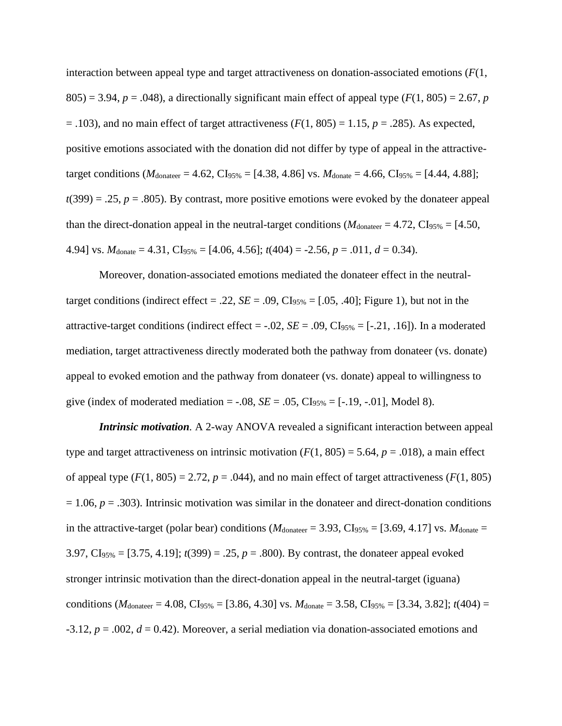interaction between appeal type and target attractiveness on donation-associated emotions (*F*(1,  $805$ ) = 3.94, *p* = .048), a directionally significant main effect of appeal type ( $F(1, 805)$ ) = 2.67, *p*  $= .103$ ), and no main effect of target attractiveness ( $F(1, 805) = 1.15$ ,  $p = .285$ ). As expected, positive emotions associated with the donation did not differ by type of appeal in the attractivetarget conditions ( $M_{\text{donater}} = 4.62$ , CI<sub>95%</sub> = [4.38, 4.86] vs.  $M_{\text{donate}} = 4.66$ , CI<sub>95%</sub> = [4.44, 4.88];  $t(399) = .25, p = .805$ . By contrast, more positive emotions were evoked by the donateer appeal than the direct-donation appeal in the neutral-target conditions ( $M_{\text{donater}} = 4.72$ , CI<sub>95%</sub> = [4.50, 4.94] vs.  $M_{\text{donate}} = 4.31$ ,  $CI_{95\%} = [4.06, 4.56]$ ;  $t(404) = -2.56$ ,  $p = .011$ ,  $d = 0.34$ ).

Moreover, donation-associated emotions mediated the donateer effect in the neutraltarget conditions (indirect effect  $= .22$ ,  $SE = .09$ ,  $CI<sub>95%</sub> = [.05, .40]$ ; Figure 1), but not in the attractive-target conditions (indirect effect =  $-.02$ , *SE* =  $.09$ , CI<sub>95%</sub> = [ $-.21, .16$ ]). In a moderated mediation, target attractiveness directly moderated both the pathway from donateer (vs. donate) appeal to evoked emotion and the pathway from donateer (vs. donate) appeal to willingness to give (index of moderated mediation =  $-.08$ ,  $SE = .05$ ,  $CI_{95\%} = [-.19, -.01]$ , Model 8).

*Intrinsic motivation*. A 2-way ANOVA revealed a significant interaction between appeal type and target attractiveness on intrinsic motivation  $(F(1, 805) = 5.64, p = .018)$ , a main effect of appeal type  $(F(1, 805) = 2.72, p = .044)$ , and no main effect of target attractiveness  $(F(1, 805))$  $= 1.06$ ,  $p = .303$ ). Intrinsic motivation was similar in the donateer and direct-donation conditions in the attractive-target (polar bear) conditions ( $M_{\text{donater}} = 3.93$ , CI<sub>95%</sub> = [3.69, 4.17] vs.  $M_{\text{donate}} =$ 3.97, CI95% = [3.75, 4.19]; *t*(399) = .25, *p* = .800). By contrast, the donateer appeal evoked stronger intrinsic motivation than the direct-donation appeal in the neutral-target (iguana) conditions ( $M_{\text{donater}} = 4.08$ , CI<sub>95%</sub> = [3.86, 4.30] vs.  $M_{\text{donate}} = 3.58$ , CI<sub>95%</sub> = [3.34, 3.82]; *t*(404) = -3.12, *p* = .002, *d* = 0.42). Moreover, a serial mediation via donation-associated emotions and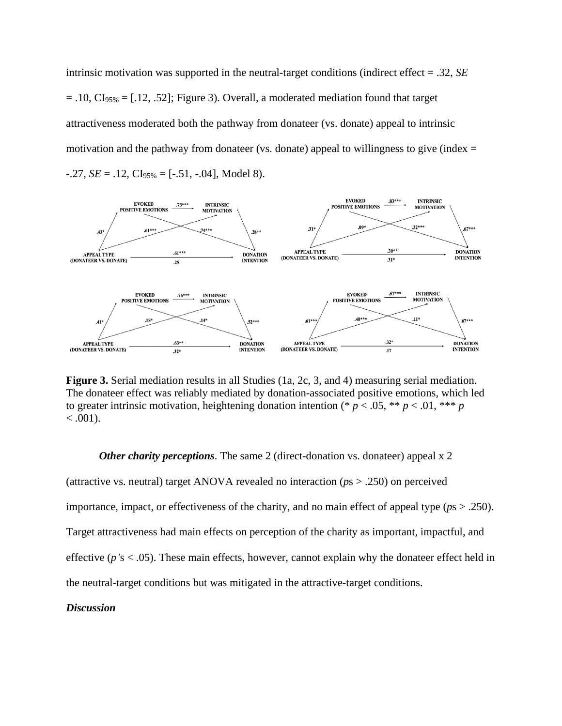intrinsic motivation was supported in the neutral-target conditions (indirect effect = .32, *SE*  $= .10, Cl<sub>95%</sub> = [.12, .52];$  Figure 3). Overall, a moderated mediation found that target attractiveness moderated both the pathway from donateer (vs. donate) appeal to intrinsic motivation and the pathway from donateer (vs. donate) appeal to willingness to give (index  $=$  $-.27, SE = .12, CI<sub>95%</sub> = [-.51, -.04], Model 8.$ 



**Figure 3.** Serial mediation results in all Studies (1a, 2c, 3, and 4) measuring serial mediation. The donateer effect was reliably mediated by donation-associated positive emotions, which led to greater intrinsic motivation, heightening donation intention (\*  $p < .05$ , \*\*  $p < .01$ , \*\*\*  $p$  $< .001$ ).

#### *Other charity perceptions.* The same 2 (direct-donation vs. donateer) appeal x 2

(attractive vs. neutral) target ANOVA revealed no interaction (*p*s > .250) on perceived importance, impact, or effectiveness of the charity, and no main effect of appeal type (*p*s > .250). Target attractiveness had main effects on perception of the charity as important, impactful, and effective (*p'*s < .05). These main effects, however, cannot explain why the donateer effect held in the neutral-target conditions but was mitigated in the attractive-target conditions.

### *Discussion*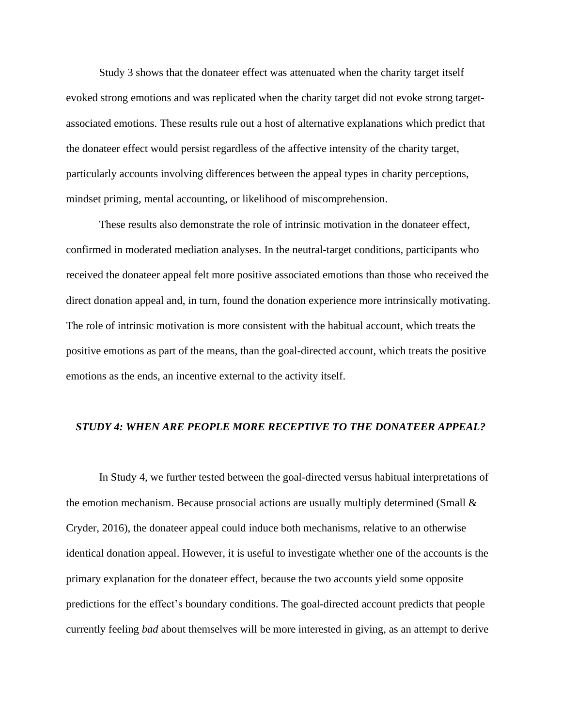Study 3 shows that the donateer effect was attenuated when the charity target itself evoked strong emotions and was replicated when the charity target did not evoke strong targetassociated emotions. These results rule out a host of alternative explanations which predict that the donateer effect would persist regardless of the affective intensity of the charity target, particularly accounts involving differences between the appeal types in charity perceptions, mindset priming, mental accounting, or likelihood of miscomprehension.

These results also demonstrate the role of intrinsic motivation in the donateer effect, confirmed in moderated mediation analyses. In the neutral-target conditions, participants who received the donateer appeal felt more positive associated emotions than those who received the direct donation appeal and, in turn, found the donation experience more intrinsically motivating. The role of intrinsic motivation is more consistent with the habitual account, which treats the positive emotions as part of the means, than the goal-directed account, which treats the positive emotions as the ends, an incentive external to the activity itself.

### *STUDY 4: WHEN ARE PEOPLE MORE RECEPTIVE TO THE DONATEER APPEAL?*

In Study 4, we further tested between the goal-directed versus habitual interpretations of the emotion mechanism. Because prosocial actions are usually multiply determined (Small  $\&$ Cryder, 2016), the donateer appeal could induce both mechanisms, relative to an otherwise identical donation appeal. However, it is useful to investigate whether one of the accounts is the primary explanation for the donateer effect, because the two accounts yield some opposite predictions for the effect's boundary conditions. The goal-directed account predicts that people currently feeling *bad* about themselves will be more interested in giving, as an attempt to derive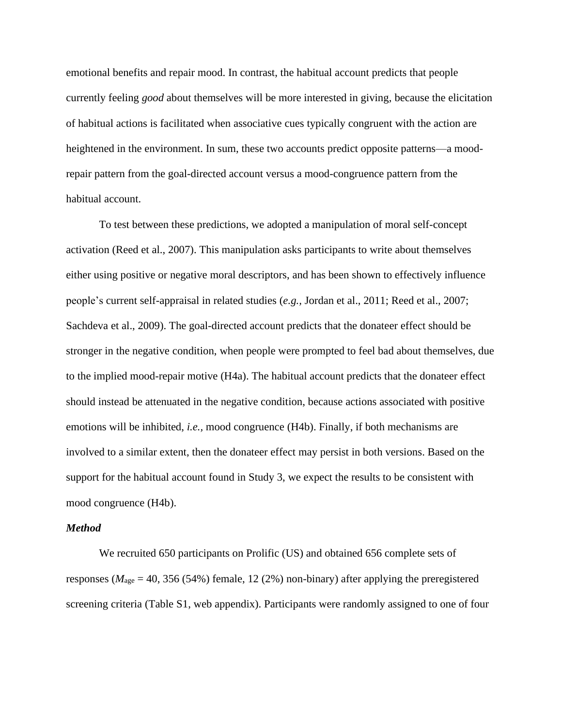emotional benefits and repair mood. In contrast, the habitual account predicts that people currently feeling *good* about themselves will be more interested in giving, because the elicitation of habitual actions is facilitated when associative cues typically congruent with the action are heightened in the environment. In sum, these two accounts predict opposite patterns—a moodrepair pattern from the goal-directed account versus a mood-congruence pattern from the habitual account.

To test between these predictions, we adopted a manipulation of moral self-concept activation (Reed et al., 2007). This manipulation asks participants to write about themselves either using positive or negative moral descriptors, and has been shown to effectively influence people's current self-appraisal in related studies (*e.g.,* Jordan et al., 2011; Reed et al., 2007; Sachdeva et al., 2009). The goal-directed account predicts that the donateer effect should be stronger in the negative condition, when people were prompted to feel bad about themselves, due to the implied mood-repair motive (H4a). The habitual account predicts that the donateer effect should instead be attenuated in the negative condition, because actions associated with positive emotions will be inhibited, *i.e.,* mood congruence (H4b). Finally, if both mechanisms are involved to a similar extent, then the donateer effect may persist in both versions. Based on the support for the habitual account found in Study 3, we expect the results to be consistent with mood congruence (H4b).

#### *Method*

We recruited 650 participants on Prolific (US) and obtained 656 complete sets of responses ( $M_{\text{age}} = 40, 356 (54%)$  female, 12 (2%) non-binary) after applying the preregistered screening criteria (Table S1, web appendix). Participants were randomly assigned to one of four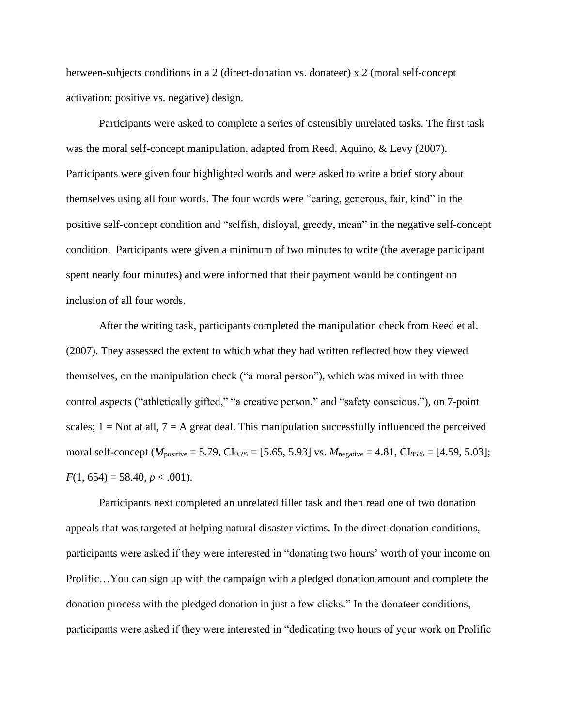between-subjects conditions in a 2 (direct-donation vs. donateer) x 2 (moral self-concept activation: positive vs. negative) design.

Participants were asked to complete a series of ostensibly unrelated tasks. The first task was the moral self-concept manipulation, adapted from Reed, Aquino, & Levy (2007). Participants were given four highlighted words and were asked to write a brief story about themselves using all four words. The four words were "caring, generous, fair, kind" in the positive self-concept condition and "selfish, disloyal, greedy, mean" in the negative self-concept condition. Participants were given a minimum of two minutes to write (the average participant spent nearly four minutes) and were informed that their payment would be contingent on inclusion of all four words.

After the writing task, participants completed the manipulation check from Reed et al. (2007). They assessed the extent to which what they had written reflected how they viewed themselves, on the manipulation check ("a moral person"), which was mixed in with three control aspects ("athletically gifted," "a creative person," and "safety conscious."), on 7-point scales;  $1 = Not$  at all,  $7 = A$  great deal. This manipulation successfully influenced the perceived moral self-concept ( $M_{\text{positive}} = 5.79$ , CI<sub>95%</sub> = [5.65, 5.93] vs.  $M_{\text{negative}} = 4.81$ , CI<sub>95%</sub> = [4.59, 5.03];  $F(1, 654) = 58.40, p < .001$ .

Participants next completed an unrelated filler task and then read one of two donation appeals that was targeted at helping natural disaster victims. In the direct-donation conditions, participants were asked if they were interested in "donating two hours' worth of your income on Prolific…You can sign up with the campaign with a pledged donation amount and complete the donation process with the pledged donation in just a few clicks." In the donateer conditions, participants were asked if they were interested in "dedicating two hours of your work on Prolific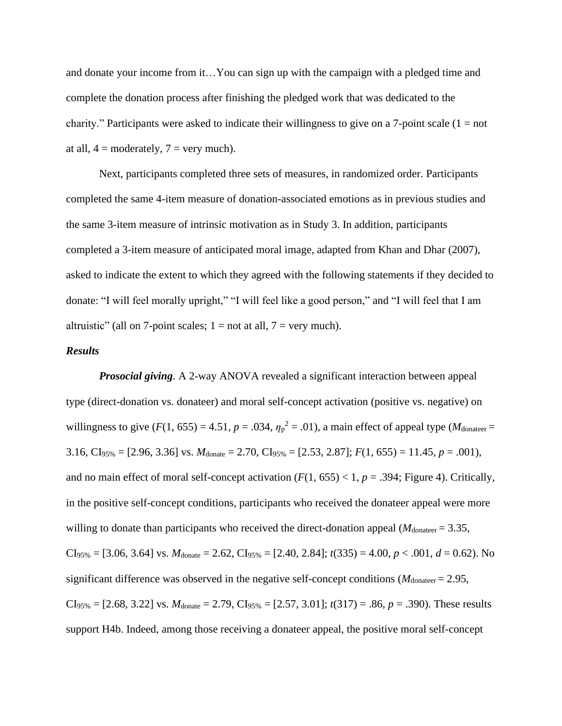and donate your income from it…You can sign up with the campaign with a pledged time and complete the donation process after finishing the pledged work that was dedicated to the charity." Participants were asked to indicate their willingness to give on a 7-point scale  $(1 = not$ at all,  $4 =$  moderately,  $7 =$  very much).

Next, participants completed three sets of measures, in randomized order. Participants completed the same 4-item measure of donation-associated emotions as in previous studies and the same 3-item measure of intrinsic motivation as in Study 3. In addition, participants completed a 3-item measure of anticipated moral image, adapted from Khan and Dhar (2007), asked to indicate the extent to which they agreed with the following statements if they decided to donate: "I will feel morally upright," "I will feel like a good person," and "I will feel that I am altruistic" (all on 7-point scales;  $1 = not$  at all,  $7 = very$  much).

## *Results*

*Prosocial giving.* A 2-way ANOVA revealed a significant interaction between appeal type (direct-donation vs. donateer) and moral self-concept activation (positive vs. negative) on willingness to give  $(F(1, 655) = 4.51, p = .034, \eta_p^2 = .01)$ , a main effect of appeal type  $(M_{\text{donater}} =$ 3.16, CI<sub>95%</sub> = [2.96, 3.36] vs.  $M_{\text{donate}} = 2.70$ , CI<sub>95%</sub> = [2.53, 2.87];  $F(1, 655) = 11.45$ ,  $p = .001$ ), and no main effect of moral self-concept activation  $(F(1, 655) < 1, p = .394$ ; Figure 4). Critically, in the positive self-concept conditions, participants who received the donateer appeal were more willing to donate than participants who received the direct-donation appeal ( $M_{\text{donater}} = 3.35$ ,  $CI<sub>95%</sub> = [3.06, 3.64]$  vs.  $M<sub>donate</sub> = 2.62, CI<sub>95%</sub> = [2.40, 2.84]; t(335) = 4.00, p < .001, d = 0.62$ ). No significant difference was observed in the negative self-concept conditions ( $M_{\text{donater}} = 2.95$ ,  $CI<sub>95%</sub> = [2.68, 3.22]$  vs.  $M<sub>donate</sub> = 2.79, CI<sub>95%</sub> = [2.57, 3.01]; t(317) = .86, p = .390$ . These results support H4b. Indeed, among those receiving a donateer appeal, the positive moral self-concept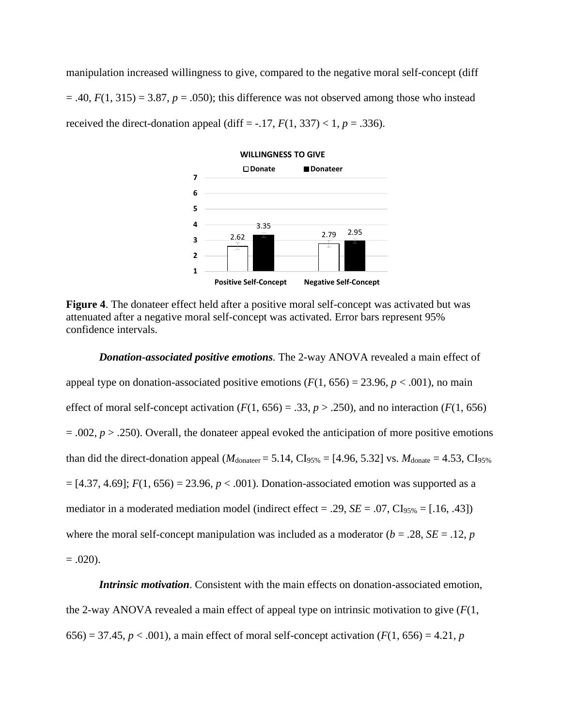manipulation increased willingness to give, compared to the negative moral self-concept (diff  $=$  .40,  $F(1, 315) = 3.87$ ,  $p = .050$ ; this difference was not observed among those who instead received the direct-donation appeal (diff =  $-.17, F(1, 337) < 1, p = .336$ ).



**Figure 4**. The donateer effect held after a positive moral self-concept was activated but was attenuated after a negative moral self-concept was activated. Error bars represent 95% confidence intervals.

*Donation-associated positive emotions.* The 2-way ANOVA revealed a main effect of appeal type on donation-associated positive emotions  $(F(1, 656) = 23.96, p < .001)$ , no main effect of moral self-concept activation  $(F(1, 656) = .33, p > .250)$ , and no interaction  $(F(1, 656)$  $= .002, p > .250$ ). Overall, the donateer appeal evoked the anticipation of more positive emotions than did the direct-donation appeal ( $M_{\text{donater}} = 5.14$ , CI<sub>95%</sub> = [4.96, 5.32] vs.  $M_{\text{donate}} = 4.53$ , CI<sub>95%</sub>  $=[4.37, 4.69]$ ;  $F(1, 656) = 23.96$ ,  $p < .001$ ). Donation-associated emotion was supported as a mediator in a moderated mediation model (indirect effect = .29,  $SE = .07$ ,  $CI_{95\%} = [.16, .43]$ ) where the moral self-concept manipulation was included as a moderator ( $b = .28$ ,  $SE = .12$ ,  $p$  $= .020$ ).

*Intrinsic motivation*. Consistent with the main effects on donation-associated emotion, the 2-way ANOVA revealed a main effect of appeal type on intrinsic motivation to give  $(F(1,$ 656) = 37.45,  $p < .001$ ), a main effect of moral self-concept activation ( $F(1, 656) = 4.21$ ,  $p$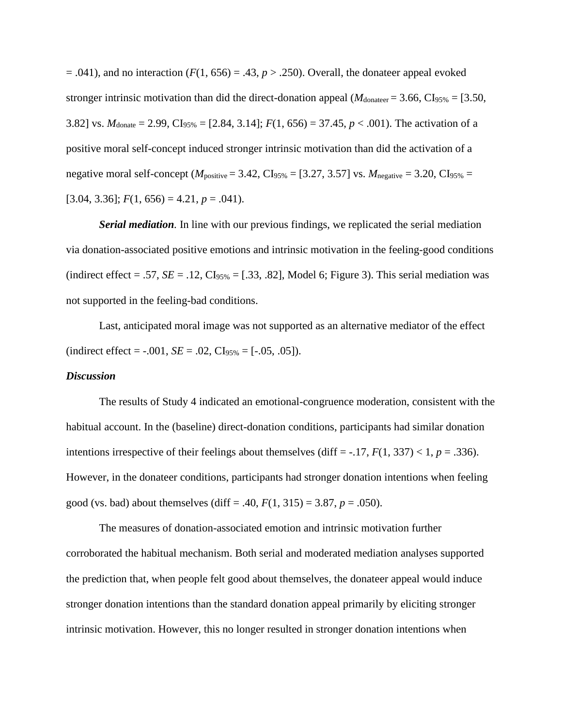$= .041$ ), and no interaction ( $F(1, 656) = .43$ ,  $p > .250$ ). Overall, the donateer appeal evoked stronger intrinsic motivation than did the direct-donation appeal ( $M_{\text{donater}} = 3.66$ , CI<sub>95%</sub> = [3.50, 3.82] vs.  $M_{\text{donate}} = 2.99$ , CI<sub>95%</sub> = [2.84, 3.14];  $F(1, 656) = 37.45$ ,  $p < .001$ ). The activation of a positive moral self-concept induced stronger intrinsic motivation than did the activation of a negative moral self-concept ( $M_{\text{positive}} = 3.42$ , CI<sub>95%</sub> = [3.27, 3.57] vs.  $M_{\text{negative}} = 3.20$ , CI<sub>95%</sub> =  $[3.04, 3.36]$ ;  $F(1, 656) = 4.21$ ,  $p = .041$ ).

*Serial mediation.* In line with our previous findings, we replicated the serial mediation via donation-associated positive emotions and intrinsic motivation in the feeling-good conditions (indirect effect = .57,  $SE = .12$ ,  $CI<sub>95%</sub> = [.33, .82]$ , Model 6; Figure 3). This serial mediation was not supported in the feeling-bad conditions.

Last, anticipated moral image was not supported as an alternative mediator of the effect  $(\text{indirect effect} = -0.001, SE = 0.02, CL_{95\%} = [-0.05, 0.05]).$ 

#### *Discussion*

The results of Study 4 indicated an emotional-congruence moderation, consistent with the habitual account. In the (baseline) direct-donation conditions, participants had similar donation intentions irrespective of their feelings about themselves (diff  $=$  -.17,  $F(1, 337) < 1$ ,  $p = .336$ ). However, in the donateer conditions, participants had stronger donation intentions when feeling good (vs. bad) about themselves (diff = .40,  $F(1, 315) = 3.87$ ,  $p = .050$ ).

The measures of donation-associated emotion and intrinsic motivation further corroborated the habitual mechanism. Both serial and moderated mediation analyses supported the prediction that, when people felt good about themselves, the donateer appeal would induce stronger donation intentions than the standard donation appeal primarily by eliciting stronger intrinsic motivation. However, this no longer resulted in stronger donation intentions when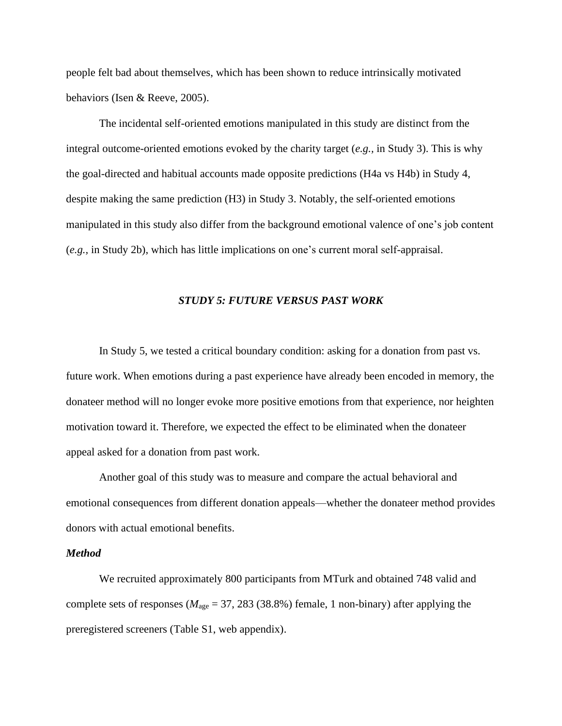people felt bad about themselves, which has been shown to reduce intrinsically motivated behaviors (Isen & Reeve, 2005).

The incidental self-oriented emotions manipulated in this study are distinct from the integral outcome-oriented emotions evoked by the charity target (*e.g.,* in Study 3). This is why the goal-directed and habitual accounts made opposite predictions (H4a vs H4b) in Study 4, despite making the same prediction (H3) in Study 3. Notably, the self-oriented emotions manipulated in this study also differ from the background emotional valence of one's job content (*e.g.,* in Study 2b), which has little implications on one's current moral self-appraisal.

#### *STUDY 5: FUTURE VERSUS PAST WORK*

In Study 5, we tested a critical boundary condition: asking for a donation from past vs. future work. When emotions during a past experience have already been encoded in memory, the donateer method will no longer evoke more positive emotions from that experience, nor heighten motivation toward it. Therefore, we expected the effect to be eliminated when the donateer appeal asked for a donation from past work.

Another goal of this study was to measure and compare the actual behavioral and emotional consequences from different donation appeals—whether the donateer method provides donors with actual emotional benefits.

## *Method*

We recruited approximately 800 participants from MTurk and obtained 748 valid and complete sets of responses ( $M_{\text{age}} = 37, 283$  (38.8%) female, 1 non-binary) after applying the preregistered screeners (Table S1, web appendix).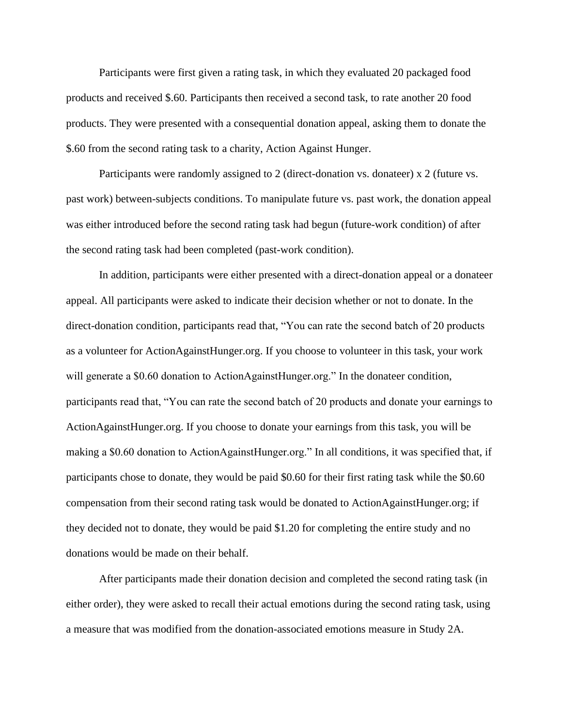Participants were first given a rating task, in which they evaluated 20 packaged food products and received \$.60. Participants then received a second task, to rate another 20 food products. They were presented with a consequential donation appeal, asking them to donate the \$.60 from the second rating task to a charity, Action Against Hunger.

Participants were randomly assigned to 2 (direct-donation vs. donateer) x 2 (future vs. past work) between-subjects conditions. To manipulate future vs. past work, the donation appeal was either introduced before the second rating task had begun (future-work condition) of after the second rating task had been completed (past-work condition).

In addition, participants were either presented with a direct-donation appeal or a donateer appeal. All participants were asked to indicate their decision whether or not to donate. In the direct-donation condition, participants read that, "You can rate the second batch of 20 products as a volunteer for ActionAgainstHunger.org. If you choose to volunteer in this task, your work will generate a \$0.60 donation to ActionAgainstHunger.org." In the donateer condition, participants read that, "You can rate the second batch of 20 products and donate your earnings to ActionAgainstHunger.org. If you choose to donate your earnings from this task, you will be making a \$0.60 donation to ActionAgainstHunger.org." In all conditions, it was specified that, if participants chose to donate, they would be paid \$0.60 for their first rating task while the \$0.60 compensation from their second rating task would be donated to ActionAgainstHunger.org; if they decided not to donate, they would be paid \$1.20 for completing the entire study and no donations would be made on their behalf.

After participants made their donation decision and completed the second rating task (in either order), they were asked to recall their actual emotions during the second rating task, using a measure that was modified from the donation-associated emotions measure in Study 2A.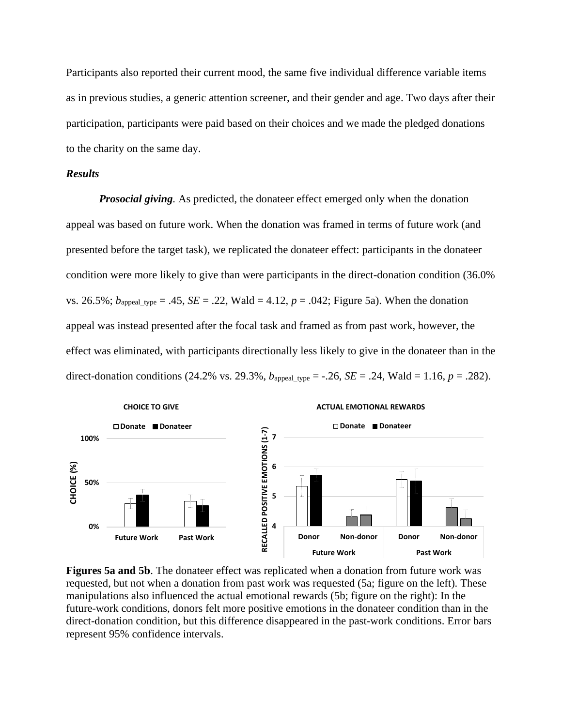Participants also reported their current mood, the same five individual difference variable items as in previous studies, a generic attention screener, and their gender and age. Two days after their participation, participants were paid based on their choices and we made the pledged donations to the charity on the same day.

## *Results*

*Prosocial giving.* As predicted, the donateer effect emerged only when the donation appeal was based on future work. When the donation was framed in terms of future work (and presented before the target task), we replicated the donateer effect: participants in the donateer condition were more likely to give than were participants in the direct-donation condition (36.0% vs. 26.5%;  $b_{\text{append type}} = .45$ ,  $SE = .22$ , Wald = 4.12,  $p = .042$ ; Figure 5a). When the donation appeal was instead presented after the focal task and framed as from past work, however, the effect was eliminated, with participants directionally less likely to give in the donateer than in the direct-donation conditions (24.2% vs. 29.3%,  $b_{\text{append\_type}} = -.26$ ,  $SE = .24$ , Wald = 1.16,  $p = .282$ ).



**Figures 5a and 5b**. The donateer effect was replicated when a donation from future work was requested, but not when a donation from past work was requested (5a; figure on the left). These manipulations also influenced the actual emotional rewards (5b; figure on the right): In the future-work conditions, donors felt more positive emotions in the donateer condition than in the direct-donation condition, but this difference disappeared in the past-work conditions. Error bars represent 95% confidence intervals.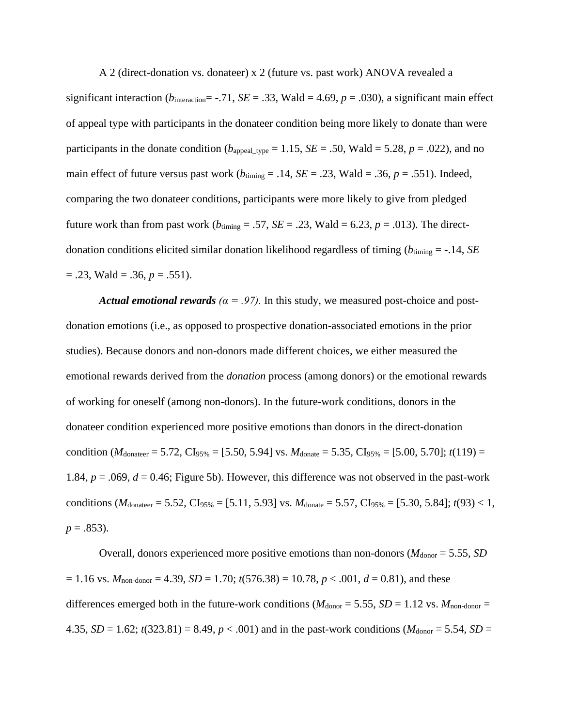A 2 (direct-donation vs. donateer) x 2 (future vs. past work) ANOVA revealed a

significant interaction ( $b_{\text{interaction}} = -.71$ , *SE* = .33, Wald = 4.69, *p* = .030), a significant main effect of appeal type with participants in the donateer condition being more likely to donate than were participants in the donate condition ( $b_{\text{append\_type}} = 1.15$ ,  $SE = .50$ , Wald = 5.28,  $p = .022$ ), and no main effect of future versus past work ( $b_{\text{tuning}} = .14$ ,  $SE = .23$ , Wald = .36,  $p = .551$ ). Indeed, comparing the two donateer conditions, participants were more likely to give from pledged future work than from past work ( $b_{\text{tuning}} = .57$ ,  $SE = .23$ , Wald = 6.23,  $p = .013$ ). The directdonation conditions elicited similar donation likelihood regardless of timing  $(b_{\text{tuning}} = -.14, SE)$  $= .23$ , Wald  $= .36$ ,  $p = .551$ ).

*Actual emotional rewards*  $(a = .97)$ . In this study, we measured post-choice and postdonation emotions (i.e., as opposed to prospective donation-associated emotions in the prior studies). Because donors and non-donors made different choices, we either measured the emotional rewards derived from the *donation* process (among donors) or the emotional rewards of working for oneself (among non-donors). In the future-work conditions, donors in the donateer condition experienced more positive emotions than donors in the direct-donation condition (*M*<sub>donateer</sub> = 5.72, CI<sub>95%</sub> = [5.50, 5.94] vs. *M*<sub>donate</sub> = 5.35, CI<sub>95%</sub> = [5.00, 5.70]; *t*(119) = 1.84,  $p = .069$ ,  $d = 0.46$ ; Figure 5b). However, this difference was not observed in the past-work conditions ( $M_{\text{donater}} = 5.52$ , CI<sub>95%</sub> = [5.11, 5.93] vs.  $M_{\text{donate}} = 5.57$ , CI<sub>95%</sub> = [5.30, 5.84]; *t*(93) < 1,  $p = .853$ ).

Overall, donors experienced more positive emotions than non-donors ( $M_{donor} = 5.55$ , *SD*  $= 1.16$  vs.  $M_{\text{non-donor}} = 4.39$ ,  $SD = 1.70$ ;  $t(576.38) = 10.78$ ,  $p < .001$ ,  $d = 0.81$ ), and these differences emerged both in the future-work conditions ( $M_{donor} = 5.55$ ,  $SD = 1.12$  vs.  $M_{non-donor} =$ 4.35, *SD* = 1.62;  $t(323.81) = 8.49$ ,  $p < .001$ ) and in the past-work conditions ( $M_{donor} = 5.54$ , *SD* =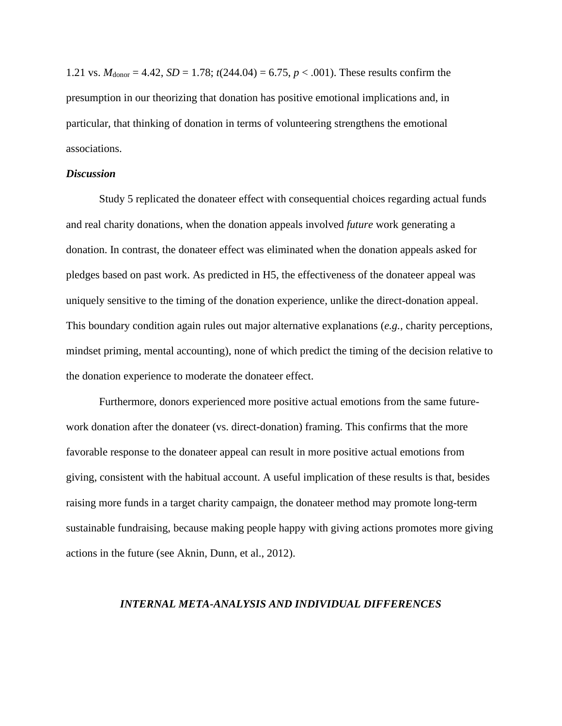1.21 vs.  $M_{\text{donor}} = 4.42$ ,  $SD = 1.78$ ;  $t(244.04) = 6.75$ ,  $p < .001$ ). These results confirm the presumption in our theorizing that donation has positive emotional implications and, in particular, that thinking of donation in terms of volunteering strengthens the emotional associations.

### *Discussion*

Study 5 replicated the donateer effect with consequential choices regarding actual funds and real charity donations, when the donation appeals involved *future* work generating a donation. In contrast, the donateer effect was eliminated when the donation appeals asked for pledges based on past work. As predicted in H5, the effectiveness of the donateer appeal was uniquely sensitive to the timing of the donation experience, unlike the direct-donation appeal. This boundary condition again rules out major alternative explanations (*e.g.,* charity perceptions, mindset priming, mental accounting), none of which predict the timing of the decision relative to the donation experience to moderate the donateer effect.

Furthermore, donors experienced more positive actual emotions from the same futurework donation after the donateer (vs. direct-donation) framing. This confirms that the more favorable response to the donateer appeal can result in more positive actual emotions from giving, consistent with the habitual account. A useful implication of these results is that, besides raising more funds in a target charity campaign, the donateer method may promote long-term sustainable fundraising, because making people happy with giving actions promotes more giving actions in the future (see Aknin, Dunn, et al., 2012).

#### *INTERNAL META-ANALYSIS AND INDIVIDUAL DIFFERENCES*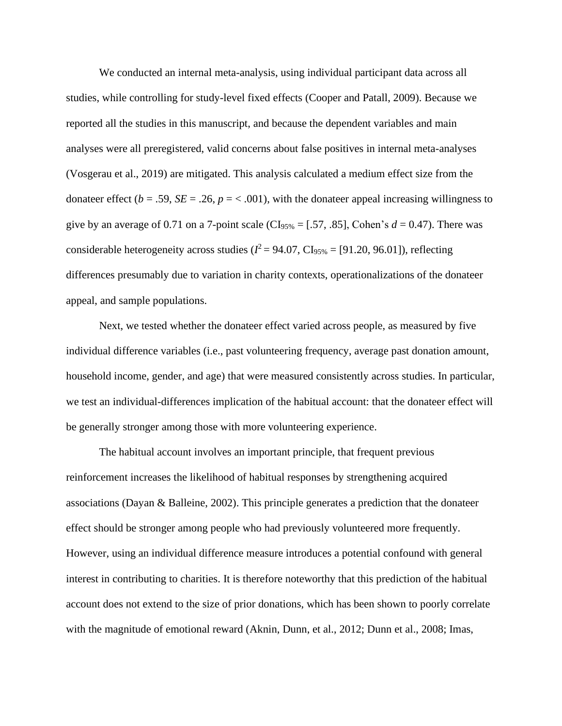We conducted an internal meta-analysis, using individual participant data across all studies, while controlling for study-level fixed effects (Cooper and Patall, 2009). Because we reported all the studies in this manuscript, and because the dependent variables and main analyses were all preregistered, valid concerns about false positives in internal meta-analyses (Vosgerau et al., 2019) are mitigated. This analysis calculated a medium effect size from the donateer effect ( $b = .59$ ,  $SE = .26$ ,  $p = < .001$ ), with the donateer appeal increasing willingness to give by an average of 0.71 on a 7-point scale ( $CI<sub>95%</sub> = [.57, .85]$ , Cohen's  $d = 0.47$ ). There was considerable heterogeneity across studies ( $l^2$  = 94.07, CI<sub>95%</sub> = [91.20, 96.01]), reflecting differences presumably due to variation in charity contexts, operationalizations of the donateer appeal, and sample populations.

Next, we tested whether the donateer effect varied across people, as measured by five individual difference variables (i.e., past volunteering frequency, average past donation amount, household income, gender, and age) that were measured consistently across studies. In particular, we test an individual-differences implication of the habitual account: that the donateer effect will be generally stronger among those with more volunteering experience.

The habitual account involves an important principle, that frequent previous reinforcement increases the likelihood of habitual responses by strengthening acquired associations (Dayan & Balleine, 2002). This principle generates a prediction that the donateer effect should be stronger among people who had previously volunteered more frequently. However, using an individual difference measure introduces a potential confound with general interest in contributing to charities. It is therefore noteworthy that this prediction of the habitual account does not extend to the size of prior donations, which has been shown to poorly correlate with the magnitude of emotional reward (Aknin, Dunn, et al., 2012; Dunn et al., 2008; Imas,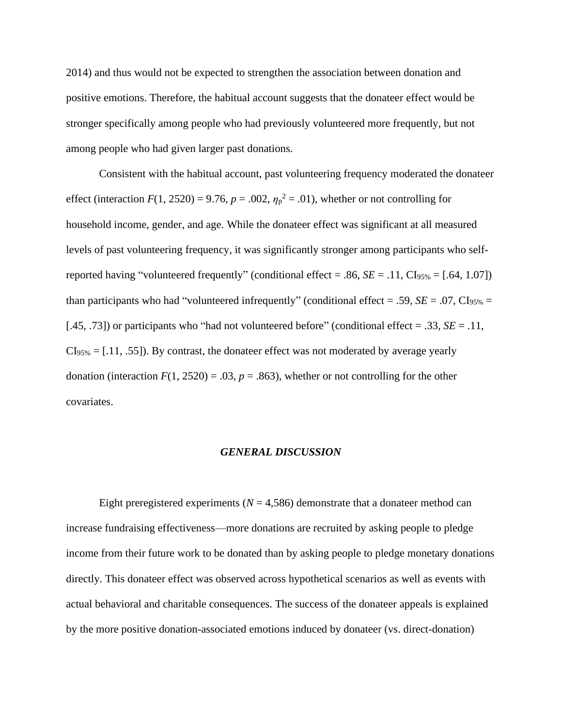2014) and thus would not be expected to strengthen the association between donation and positive emotions. Therefore, the habitual account suggests that the donateer effect would be stronger specifically among people who had previously volunteered more frequently, but not among people who had given larger past donations.

Consistent with the habitual account, past volunteering frequency moderated the donateer effect (interaction  $F(1, 2520) = 9.76$ ,  $p = .002$ ,  $\eta_p^2 = .01$ ), whether or not controlling for household income, gender, and age. While the donateer effect was significant at all measured levels of past volunteering frequency, it was significantly stronger among participants who selfreported having "volunteered frequently" (conditional effect = .86,  $SE = .11$ ,  $CI<sub>95%</sub> = [.64, 1.07]$ ) than participants who had "volunteered infrequently" (conditional effect = .59,  $SE = .07$ ,  $CI_{95\%} =$ [.45, .73]) or participants who "had not volunteered before" (conditional effect = .33, *SE* = .11,  $CI<sub>95%</sub> = [.11, .55])$ . By contrast, the donateer effect was not moderated by average yearly donation (interaction  $F(1, 2520) = .03$ ,  $p = .863$ ), whether or not controlling for the other covariates.

#### *GENERAL DISCUSSION*

Eight preregistered experiments  $(N = 4,586)$  demonstrate that a donateer method can increase fundraising effectiveness—more donations are recruited by asking people to pledge income from their future work to be donated than by asking people to pledge monetary donations directly. This donateer effect was observed across hypothetical scenarios as well as events with actual behavioral and charitable consequences. The success of the donateer appeals is explained by the more positive donation-associated emotions induced by donateer (vs. direct-donation)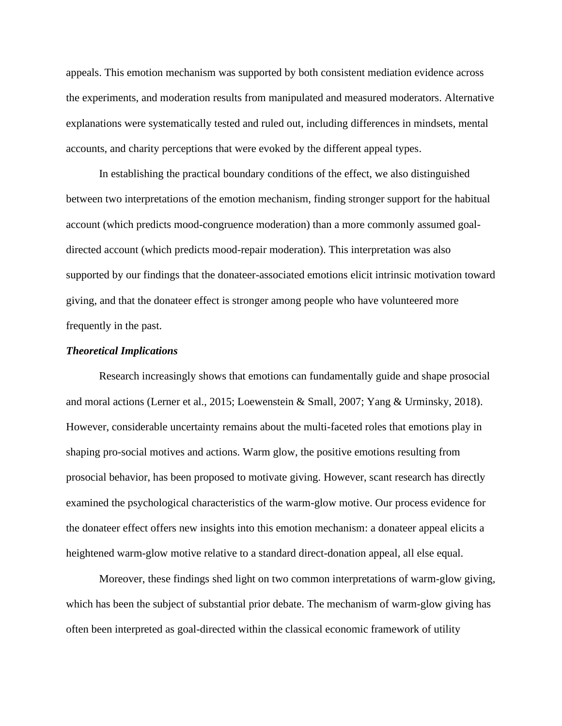appeals. This emotion mechanism was supported by both consistent mediation evidence across the experiments, and moderation results from manipulated and measured moderators. Alternative explanations were systematically tested and ruled out, including differences in mindsets, mental accounts, and charity perceptions that were evoked by the different appeal types.

In establishing the practical boundary conditions of the effect, we also distinguished between two interpretations of the emotion mechanism, finding stronger support for the habitual account (which predicts mood-congruence moderation) than a more commonly assumed goaldirected account (which predicts mood-repair moderation). This interpretation was also supported by our findings that the donateer-associated emotions elicit intrinsic motivation toward giving, and that the donateer effect is stronger among people who have volunteered more frequently in the past.

## *Theoretical Implications*

Research increasingly shows that emotions can fundamentally guide and shape prosocial and moral actions (Lerner et al., 2015; Loewenstein & Small, 2007; Yang & Urminsky, 2018). However, considerable uncertainty remains about the multi-faceted roles that emotions play in shaping pro-social motives and actions. Warm glow, the positive emotions resulting from prosocial behavior, has been proposed to motivate giving. However, scant research has directly examined the psychological characteristics of the warm-glow motive. Our process evidence for the donateer effect offers new insights into this emotion mechanism: a donateer appeal elicits a heightened warm-glow motive relative to a standard direct-donation appeal, all else equal.

Moreover, these findings shed light on two common interpretations of warm-glow giving, which has been the subject of substantial prior debate. The mechanism of warm-glow giving has often been interpreted as goal-directed within the classical economic framework of utility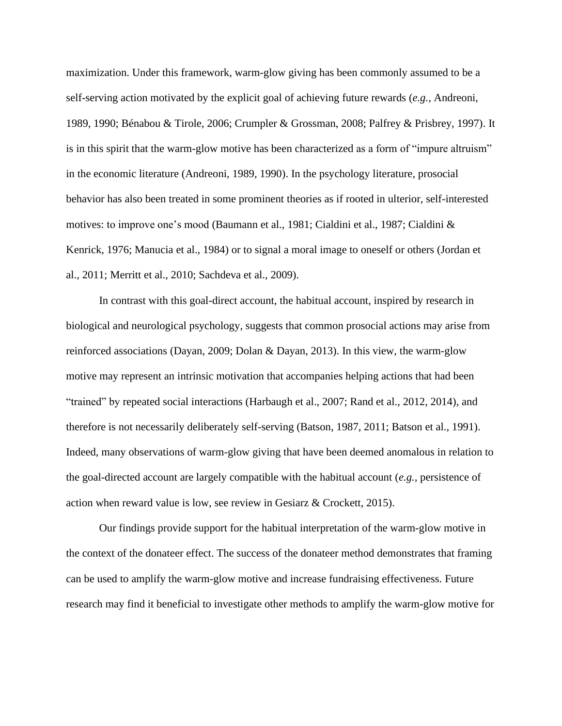maximization. Under this framework, warm-glow giving has been commonly assumed to be a self-serving action motivated by the explicit goal of achieving future rewards (*e.g.,* Andreoni, 1989, 1990; Bénabou & Tirole, 2006; Crumpler & Grossman, 2008; Palfrey & Prisbrey, 1997). It is in this spirit that the warm-glow motive has been characterized as a form of "impure altruism" in the economic literature (Andreoni, 1989, 1990). In the psychology literature, prosocial behavior has also been treated in some prominent theories as if rooted in ulterior, self-interested motives: to improve one's mood (Baumann et al., 1981; Cialdini et al., 1987; Cialdini & Kenrick, 1976; Manucia et al., 1984) or to signal a moral image to oneself or others (Jordan et al., 2011; Merritt et al., 2010; Sachdeva et al., 2009).

In contrast with this goal-direct account, the habitual account, inspired by research in biological and neurological psychology, suggests that common prosocial actions may arise from reinforced associations (Dayan, 2009; Dolan & Dayan, 2013). In this view, the warm-glow motive may represent an intrinsic motivation that accompanies helping actions that had been "trained" by repeated social interactions (Harbaugh et al., 2007; Rand et al., 2012, 2014), and therefore is not necessarily deliberately self-serving (Batson, 1987, 2011; Batson et al., 1991). Indeed, many observations of warm-glow giving that have been deemed anomalous in relation to the goal-directed account are largely compatible with the habitual account (*e.g.,* persistence of action when reward value is low, see review in Gesiarz & Crockett, 2015).

Our findings provide support for the habitual interpretation of the warm-glow motive in the context of the donateer effect. The success of the donateer method demonstrates that framing can be used to amplify the warm-glow motive and increase fundraising effectiveness. Future research may find it beneficial to investigate other methods to amplify the warm-glow motive for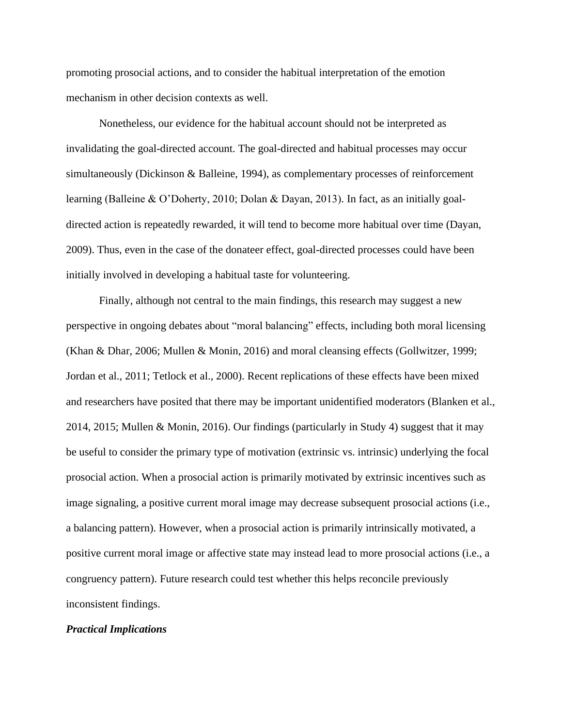promoting prosocial actions, and to consider the habitual interpretation of the emotion mechanism in other decision contexts as well.

Nonetheless, our evidence for the habitual account should not be interpreted as invalidating the goal-directed account. The goal-directed and habitual processes may occur simultaneously (Dickinson & Balleine, 1994), as complementary processes of reinforcement learning (Balleine & O'Doherty, 2010; Dolan & Dayan, 2013). In fact, as an initially goaldirected action is repeatedly rewarded, it will tend to become more habitual over time (Dayan, 2009). Thus, even in the case of the donateer effect, goal-directed processes could have been initially involved in developing a habitual taste for volunteering.

Finally, although not central to the main findings, this research may suggest a new perspective in ongoing debates about "moral balancing" effects, including both moral licensing (Khan & Dhar, 2006; Mullen & Monin, 2016) and moral cleansing effects (Gollwitzer, 1999; Jordan et al., 2011; Tetlock et al., 2000). Recent replications of these effects have been mixed and researchers have posited that there may be important unidentified moderators (Blanken et al., 2014, 2015; Mullen & Monin, 2016). Our findings (particularly in Study 4) suggest that it may be useful to consider the primary type of motivation (extrinsic vs. intrinsic) underlying the focal prosocial action. When a prosocial action is primarily motivated by extrinsic incentives such as image signaling, a positive current moral image may decrease subsequent prosocial actions (i.e., a balancing pattern). However, when a prosocial action is primarily intrinsically motivated, a positive current moral image or affective state may instead lead to more prosocial actions (i.e., a congruency pattern). Future research could test whether this helps reconcile previously inconsistent findings.

### *Practical Implications*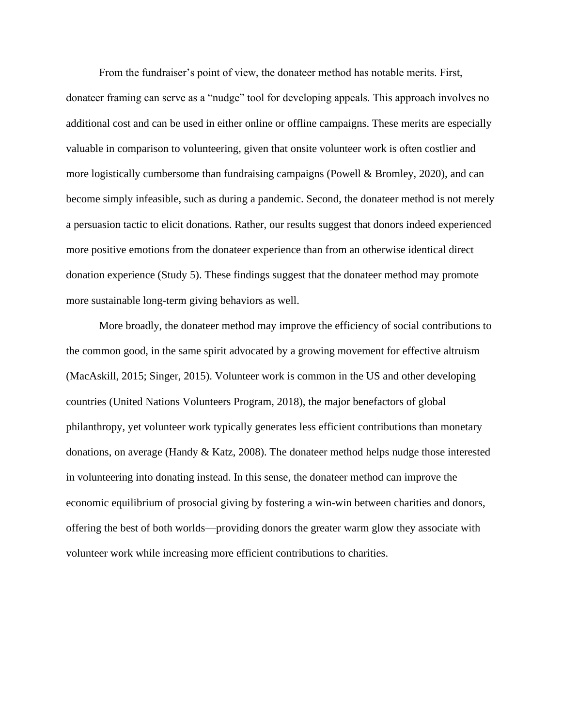From the fundraiser's point of view, the donateer method has notable merits. First, donateer framing can serve as a "nudge" tool for developing appeals. This approach involves no additional cost and can be used in either online or offline campaigns. These merits are especially valuable in comparison to volunteering, given that onsite volunteer work is often costlier and more logistically cumbersome than fundraising campaigns (Powell & Bromley, 2020), and can become simply infeasible, such as during a pandemic. Second, the donateer method is not merely a persuasion tactic to elicit donations. Rather, our results suggest that donors indeed experienced more positive emotions from the donateer experience than from an otherwise identical direct donation experience (Study 5). These findings suggest that the donateer method may promote more sustainable long-term giving behaviors as well.

More broadly, the donateer method may improve the efficiency of social contributions to the common good, in the same spirit advocated by a growing movement for effective altruism (MacAskill, 2015; Singer, 2015). Volunteer work is common in the US and other developing countries (United Nations Volunteers Program, 2018), the major benefactors of global philanthropy, yet volunteer work typically generates less efficient contributions than monetary donations, on average (Handy & Katz, 2008). The donateer method helps nudge those interested in volunteering into donating instead. In this sense, the donateer method can improve the economic equilibrium of prosocial giving by fostering a win-win between charities and donors, offering the best of both worlds—providing donors the greater warm glow they associate with volunteer work while increasing more efficient contributions to charities.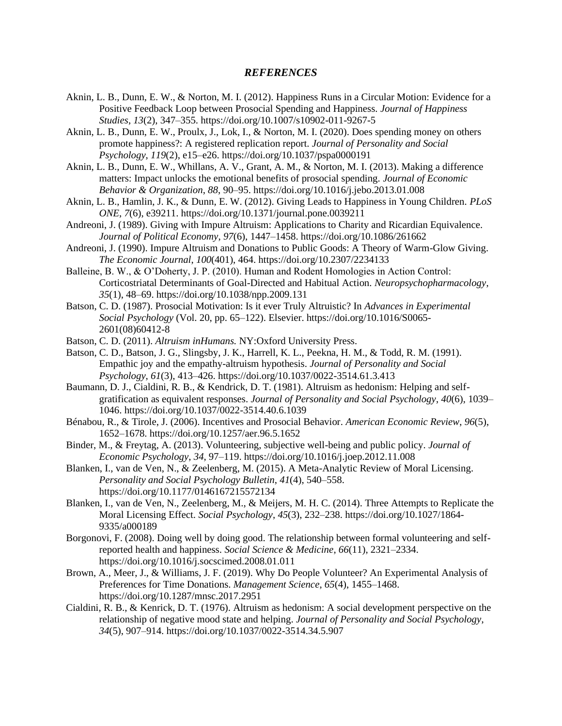#### *REFERENCES*

- Aknin, L. B., Dunn, E. W., & Norton, M. I. (2012). Happiness Runs in a Circular Motion: Evidence for a Positive Feedback Loop between Prosocial Spending and Happiness. *Journal of Happiness Studies*, *13*(2), 347–355. https://doi.org/10.1007/s10902-011-9267-5
- Aknin, L. B., Dunn, E. W., Proulx, J., Lok, I., & Norton, M. I. (2020). Does spending money on others promote happiness?: A registered replication report. *Journal of Personality and Social Psychology*, *119*(2), e15–e26. https://doi.org/10.1037/pspa0000191
- Aknin, L. B., Dunn, E. W., Whillans, A. V., Grant, A. M., & Norton, M. I. (2013). Making a difference matters: Impact unlocks the emotional benefits of prosocial spending. *Journal of Economic Behavior & Organization*, *88*, 90–95. https://doi.org/10.1016/j.jebo.2013.01.008
- Aknin, L. B., Hamlin, J. K., & Dunn, E. W. (2012). Giving Leads to Happiness in Young Children. *PLoS ONE*, *7*(6), e39211. https://doi.org/10.1371/journal.pone.0039211
- Andreoni, J. (1989). Giving with Impure Altruism: Applications to Charity and Ricardian Equivalence. *Journal of Political Economy*, *97*(6), 1447–1458. https://doi.org/10.1086/261662
- Andreoni, J. (1990). Impure Altruism and Donations to Public Goods: A Theory of Warm-Glow Giving. *The Economic Journal*, *100*(401), 464. https://doi.org/10.2307/2234133
- Balleine, B. W., & O'Doherty, J. P. (2010). Human and Rodent Homologies in Action Control: Corticostriatal Determinants of Goal-Directed and Habitual Action. *Neuropsychopharmacology*, *35*(1), 48–69. https://doi.org/10.1038/npp.2009.131
- Batson, C. D. (1987). Prosocial Motivation: Is it ever Truly Altruistic? In *Advances in Experimental Social Psychology* (Vol. 20, pp. 65–122). Elsevier. https://doi.org/10.1016/S0065- 2601(08)60412-8
- Batson, C. D. (2011). *Altruism inHumans.* NY:Oxford University Press.
- Batson, C. D., Batson, J. G., Slingsby, J. K., Harrell, K. L., Peekna, H. M., & Todd, R. M. (1991). Empathic joy and the empathy-altruism hypothesis. *Journal of Personality and Social Psychology*, *61*(3), 413–426. https://doi.org/10.1037/0022-3514.61.3.413
- Baumann, D. J., Cialdini, R. B., & Kendrick, D. T. (1981). Altruism as hedonism: Helping and selfgratification as equivalent responses. *Journal of Personality and Social Psychology*, *40*(6), 1039– 1046. https://doi.org/10.1037/0022-3514.40.6.1039
- Bénabou, R., & Tirole, J. (2006). Incentives and Prosocial Behavior. *American Economic Review*, *96*(5), 1652–1678. https://doi.org/10.1257/aer.96.5.1652
- Binder, M., & Freytag, A. (2013). Volunteering, subjective well-being and public policy. *Journal of Economic Psychology*, *34*, 97–119. https://doi.org/10.1016/j.joep.2012.11.008
- Blanken, I., van de Ven, N., & Zeelenberg, M. (2015). A Meta-Analytic Review of Moral Licensing. *Personality and Social Psychology Bulletin*, *41*(4), 540–558. https://doi.org/10.1177/0146167215572134
- Blanken, I., van de Ven, N., Zeelenberg, M., & Meijers, M. H. C. (2014). Three Attempts to Replicate the Moral Licensing Effect. *Social Psychology*, *45*(3), 232–238. https://doi.org/10.1027/1864- 9335/a000189
- Borgonovi, F. (2008). Doing well by doing good. The relationship between formal volunteering and selfreported health and happiness. *Social Science & Medicine*, *66*(11), 2321–2334. https://doi.org/10.1016/j.socscimed.2008.01.011
- Brown, A., Meer, J., & Williams, J. F. (2019). Why Do People Volunteer? An Experimental Analysis of Preferences for Time Donations. *Management Science*, *65*(4), 1455–1468. https://doi.org/10.1287/mnsc.2017.2951
- Cialdini, R. B., & Kenrick, D. T. (1976). Altruism as hedonism: A social development perspective on the relationship of negative mood state and helping. *Journal of Personality and Social Psychology*, *34*(5), 907–914. https://doi.org/10.1037/0022-3514.34.5.907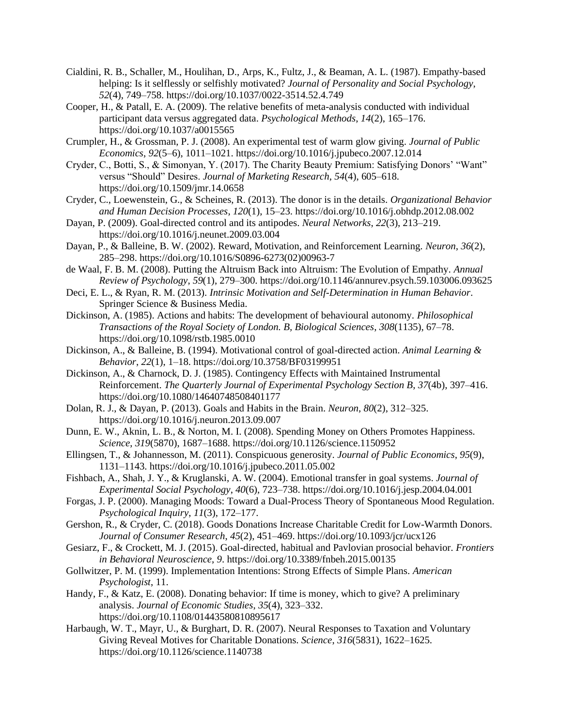- Cialdini, R. B., Schaller, M., Houlihan, D., Arps, K., Fultz, J., & Beaman, A. L. (1987). Empathy-based helping: Is it selflessly or selfishly motivated? *Journal of Personality and Social Psychology*, *52*(4), 749–758. https://doi.org/10.1037/0022-3514.52.4.749
- Cooper, H., & Patall, E. A. (2009). The relative benefits of meta-analysis conducted with individual participant data versus aggregated data. *Psychological Methods*, *14*(2), 165–176. https://doi.org/10.1037/a0015565
- Crumpler, H., & Grossman, P. J. (2008). An experimental test of warm glow giving. *Journal of Public Economics*, *92*(5–6), 1011–1021. https://doi.org/10.1016/j.jpubeco.2007.12.014
- Cryder, C., Botti, S., & Simonyan, Y. (2017). The Charity Beauty Premium: Satisfying Donors' "Want" versus "Should" Desires. *Journal of Marketing Research*, *54*(4), 605–618. https://doi.org/10.1509/jmr.14.0658
- Cryder, C., Loewenstein, G., & Scheines, R. (2013). The donor is in the details. *Organizational Behavior and Human Decision Processes*, *120*(1), 15–23. https://doi.org/10.1016/j.obhdp.2012.08.002
- Dayan, P. (2009). Goal-directed control and its antipodes. *Neural Networks*, *22*(3), 213–219. https://doi.org/10.1016/j.neunet.2009.03.004
- Dayan, P., & Balleine, B. W. (2002). Reward, Motivation, and Reinforcement Learning. *Neuron*, *36*(2), 285–298. https://doi.org/10.1016/S0896-6273(02)00963-7
- de Waal, F. B. M. (2008). Putting the Altruism Back into Altruism: The Evolution of Empathy. *Annual Review of Psychology*, *59*(1), 279–300. https://doi.org/10.1146/annurev.psych.59.103006.093625
- Deci, E. L., & Ryan, R. M. (2013). *Intrinsic Motivation and Self-Determination in Human Behavior*. Springer Science & Business Media.
- Dickinson, A. (1985). Actions and habits: The development of behavioural autonomy. *Philosophical Transactions of the Royal Society of London. B, Biological Sciences*, *308*(1135), 67–78. https://doi.org/10.1098/rstb.1985.0010
- Dickinson, A., & Balleine, B. (1994). Motivational control of goal-directed action. *Animal Learning & Behavior*, *22*(1), 1–18. https://doi.org/10.3758/BF03199951
- Dickinson, A., & Charnock, D. J. (1985). Contingency Effects with Maintained Instrumental Reinforcement. *The Quarterly Journal of Experimental Psychology Section B*, *37*(4b), 397–416. https://doi.org/10.1080/14640748508401177
- Dolan, R. J., & Dayan, P. (2013). Goals and Habits in the Brain. *Neuron*, *80*(2), 312–325. https://doi.org/10.1016/j.neuron.2013.09.007
- Dunn, E. W., Aknin, L. B., & Norton, M. I. (2008). Spending Money on Others Promotes Happiness. *Science*, *319*(5870), 1687–1688. https://doi.org/10.1126/science.1150952
- Ellingsen, T., & Johannesson, M. (2011). Conspicuous generosity. *Journal of Public Economics*, *95*(9), 1131–1143. https://doi.org/10.1016/j.jpubeco.2011.05.002
- Fishbach, A., Shah, J. Y., & Kruglanski, A. W. (2004). Emotional transfer in goal systems. *Journal of Experimental Social Psychology*, *40*(6), 723–738. https://doi.org/10.1016/j.jesp.2004.04.001
- Forgas, J. P. (2000). Managing Moods: Toward a Dual-Process Theory of Spontaneous Mood Regulation. *Psychological Inquiry*, *11*(3), 172–177.
- Gershon, R., & Cryder, C. (2018). Goods Donations Increase Charitable Credit for Low-Warmth Donors. *Journal of Consumer Research*, *45*(2), 451–469. https://doi.org/10.1093/jcr/ucx126
- Gesiarz, F., & Crockett, M. J. (2015). Goal-directed, habitual and Pavlovian prosocial behavior. *Frontiers in Behavioral Neuroscience*, *9*. https://doi.org/10.3389/fnbeh.2015.00135
- Gollwitzer, P. M. (1999). Implementation Intentions: Strong Effects of Simple Plans. *American Psychologist*, 11.
- Handy, F., & Katz, E. (2008). Donating behavior: If time is money, which to give? A preliminary analysis. *Journal of Economic Studies*, *35*(4), 323–332. https://doi.org/10.1108/01443580810895617
- Harbaugh, W. T., Mayr, U., & Burghart, D. R. (2007). Neural Responses to Taxation and Voluntary Giving Reveal Motives for Charitable Donations. *Science*, *316*(5831), 1622–1625. https://doi.org/10.1126/science.1140738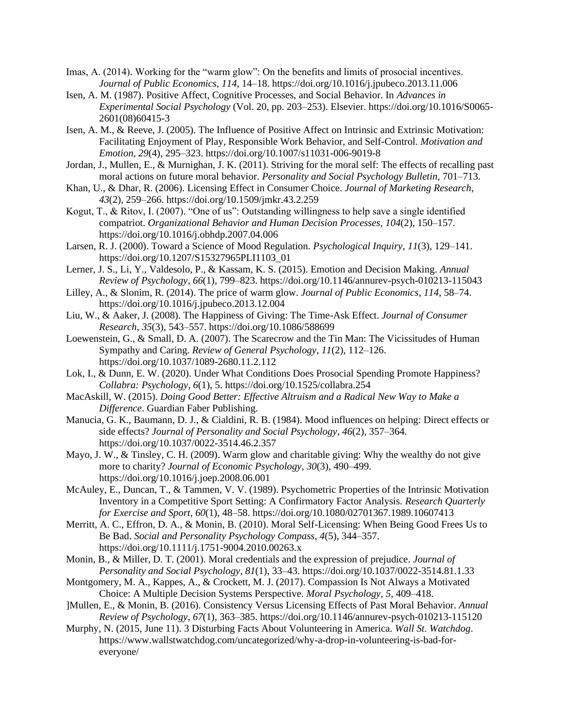- Imas, A. (2014). Working for the "warm glow": On the benefits and limits of prosocial incentives. *Journal of Public Economics*, *114*, 14–18. https://doi.org/10.1016/j.jpubeco.2013.11.006
- Isen, A. M. (1987). Positive Affect, Cognitive Processes, and Social Behavior. In *Advances in Experimental Social Psychology* (Vol. 20, pp. 203–253). Elsevier. https://doi.org/10.1016/S0065- 2601(08)60415-3
- Isen, A. M., & Reeve, J. (2005). The Influence of Positive Affect on Intrinsic and Extrinsic Motivation: Facilitating Enjoyment of Play, Responsible Work Behavior, and Self-Control. *Motivation and Emotion*, *29*(4), 295–323. https://doi.org/10.1007/s11031-006-9019-8
- Jordan, J., Mullen, E., & Murnighan, J. K. (2011). Striving for the moral self: The effects of recalling past moral actions on future moral behavior. *Personality and Social Psychology Bulletin*, 701–713.
- Khan, U., & Dhar, R. (2006). Licensing Effect in Consumer Choice. *Journal of Marketing Research*, *43*(2), 259–266. https://doi.org/10.1509/jmkr.43.2.259
- Kogut, T., & Ritov, I. (2007). "One of us": Outstanding willingness to help save a single identified compatriot. *Organizational Behavior and Human Decision Processes*, *104*(2), 150–157. https://doi.org/10.1016/j.obhdp.2007.04.006
- Larsen, R. J. (2000). Toward a Science of Mood Regulation. *Psychological Inquiry*, *11*(3), 129–141. https://doi.org/10.1207/S15327965PLI1103\_01
- Lerner, J. S., Li, Y., Valdesolo, P., & Kassam, K. S. (2015). Emotion and Decision Making. *Annual Review of Psychology*, *66*(1), 799–823. https://doi.org/10.1146/annurev-psych-010213-115043
- Lilley, A., & Slonim, R. (2014). The price of warm glow. *Journal of Public Economics*, *114*, 58–74. https://doi.org/10.1016/j.jpubeco.2013.12.004
- Liu, W., & Aaker, J. (2008). The Happiness of Giving: The Time-Ask Effect. *Journal of Consumer Research*, *35*(3), 543–557. https://doi.org/10.1086/588699
- Loewenstein, G., & Small, D. A. (2007). The Scarecrow and the Tin Man: The Vicissitudes of Human Sympathy and Caring. *Review of General Psychology*, *11*(2), 112–126. https://doi.org/10.1037/1089-2680.11.2.112
- Lok, I., & Dunn, E. W. (2020). Under What Conditions Does Prosocial Spending Promote Happiness? *Collabra: Psychology*, *6*(1), 5. https://doi.org/10.1525/collabra.254
- MacAskill, W. (2015). *Doing Good Better: Effective Altruism and a Radical New Way to Make a Difference*. Guardian Faber Publishing.
- Manucia, G. K., Baumann, D. J., & Cialdini, R. B. (1984). Mood influences on helping: Direct effects or side effects? *Journal of Personality and Social Psychology*, *46*(2), 357–364. https://doi.org/10.1037/0022-3514.46.2.357
- Mayo, J. W., & Tinsley, C. H. (2009). Warm glow and charitable giving: Why the wealthy do not give more to charity? *Journal of Economic Psychology*, *30*(3), 490–499. https://doi.org/10.1016/j.joep.2008.06.001
- McAuley, E., Duncan, T., & Tammen, V. V. (1989). Psychometric Properties of the Intrinsic Motivation Inventory in a Competitive Sport Setting: A Confirmatory Factor Analysis. *Research Quarterly for Exercise and Sport*, *60*(1), 48–58. https://doi.org/10.1080/02701367.1989.10607413
- Merritt, A. C., Effron, D. A., & Monin, B. (2010). Moral Self-Licensing: When Being Good Frees Us to Be Bad. *Social and Personality Psychology Compass*, *4*(5), 344–357. https://doi.org/10.1111/j.1751-9004.2010.00263.x
- Monin, B., & Miller, D. T. (2001). Moral credentials and the expression of prejudice. *Journal of Personality and Social Psychology*, *81*(1), 33–43. https://doi.org/10.1037/0022-3514.81.1.33
- Montgomery, M. A., Kappes, A., & Crockett, M. J. (2017). Compassion Is Not Always a Motivated Choice: A Multiple Decision Systems Perspective. *Moral Psychology, 5*, 409–418.
- ]Mullen, E., & Monin, B. (2016). Consistency Versus Licensing Effects of Past Moral Behavior. *Annual Review of Psychology*, *67*(1), 363–385. https://doi.org/10.1146/annurev-psych-010213-115120
- Murphy, N. (2015, June 11). 3 Disturbing Facts About Volunteering in America. *Wall St. Watchdog*. https://www.wallstwatchdog.com/uncategorized/why-a-drop-in-volunteering-is-bad-foreveryone/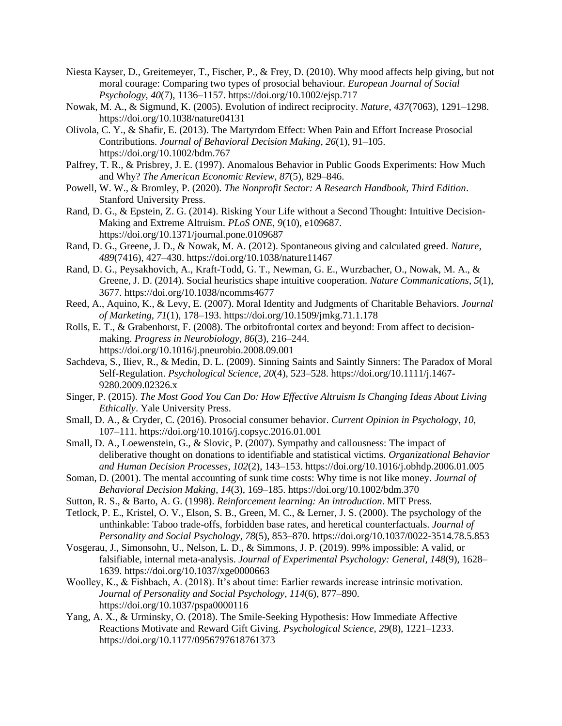- Niesta Kayser, D., Greitemeyer, T., Fischer, P., & Frey, D. (2010). Why mood affects help giving, but not moral courage: Comparing two types of prosocial behaviour. *European Journal of Social Psychology*, *40*(7), 1136–1157. https://doi.org/10.1002/ejsp.717
- Nowak, M. A., & Sigmund, K. (2005). Evolution of indirect reciprocity. *Nature*, *437*(7063), 1291–1298. https://doi.org/10.1038/nature04131
- Olivola, C. Y., & Shafir, E. (2013). The Martyrdom Effect: When Pain and Effort Increase Prosocial Contributions. *Journal of Behavioral Decision Making*, *26*(1), 91–105. https://doi.org/10.1002/bdm.767
- Palfrey, T. R., & Prisbrey, J. E. (1997). Anomalous Behavior in Public Goods Experiments: How Much and Why? *The American Economic Review*, *87*(5), 829–846.
- Powell, W. W., & Bromley, P. (2020). *The Nonprofit Sector: A Research Handbook, Third Edition*. Stanford University Press.
- Rand, D. G., & Epstein, Z. G. (2014). Risking Your Life without a Second Thought: Intuitive Decision-Making and Extreme Altruism. *PLoS ONE*, *9*(10), e109687. https://doi.org/10.1371/journal.pone.0109687
- Rand, D. G., Greene, J. D., & Nowak, M. A. (2012). Spontaneous giving and calculated greed. *Nature*, *489*(7416), 427–430. https://doi.org/10.1038/nature11467
- Rand, D. G., Peysakhovich, A., Kraft-Todd, G. T., Newman, G. E., Wurzbacher, O., Nowak, M. A., & Greene, J. D. (2014). Social heuristics shape intuitive cooperation. *Nature Communications*, *5*(1), 3677. https://doi.org/10.1038/ncomms4677
- Reed, A., Aquino, K., & Levy, E. (2007). Moral Identity and Judgments of Charitable Behaviors. *Journal of Marketing*, *71*(1), 178–193. https://doi.org/10.1509/jmkg.71.1.178
- Rolls, E. T., & Grabenhorst, F. (2008). The orbitofrontal cortex and beyond: From affect to decisionmaking. *Progress in Neurobiology*, *86*(3), 216–244. https://doi.org/10.1016/j.pneurobio.2008.09.001
- Sachdeva, S., Iliev, R., & Medin, D. L. (2009). Sinning Saints and Saintly Sinners: The Paradox of Moral Self-Regulation. *Psychological Science*, *20*(4), 523–528. https://doi.org/10.1111/j.1467- 9280.2009.02326.x
- Singer, P. (2015). *The Most Good You Can Do: How Effective Altruism Is Changing Ideas About Living Ethically*. Yale University Press.
- Small, D. A., & Cryder, C. (2016). Prosocial consumer behavior. *Current Opinion in Psychology*, *10*, 107–111. https://doi.org/10.1016/j.copsyc.2016.01.001
- Small, D. A., Loewenstein, G., & Slovic, P. (2007). Sympathy and callousness: The impact of deliberative thought on donations to identifiable and statistical victims. *Organizational Behavior and Human Decision Processes*, *102*(2), 143–153. https://doi.org/10.1016/j.obhdp.2006.01.005
- Soman, D. (2001). The mental accounting of sunk time costs: Why time is not like money. *Journal of Behavioral Decision Making*, *14*(3), 169–185. https://doi.org/10.1002/bdm.370
- Sutton, R. S., & Barto, A. G. (1998). *Reinforcement learning: An introduction*. MIT Press.
- Tetlock, P. E., Kristel, O. V., Elson, S. B., Green, M. C., & Lerner, J. S. (2000). The psychology of the unthinkable: Taboo trade-offs, forbidden base rates, and heretical counterfactuals. *Journal of Personality and Social Psychology*, *78*(5), 853–870. https://doi.org/10.1037/0022-3514.78.5.853
- Vosgerau, J., Simonsohn, U., Nelson, L. D., & Simmons, J. P. (2019). 99% impossible: A valid, or falsifiable, internal meta-analysis. *Journal of Experimental Psychology: General*, *148*(9), 1628– 1639. https://doi.org/10.1037/xge0000663
- Woolley, K., & Fishbach, A. (2018). It's about time: Earlier rewards increase intrinsic motivation. *Journal of Personality and Social Psychology*, *114*(6), 877–890. https://doi.org/10.1037/pspa0000116
- Yang, A. X., & Urminsky, O. (2018). The Smile-Seeking Hypothesis: How Immediate Affective Reactions Motivate and Reward Gift Giving. *Psychological Science*, *29*(8), 1221–1233. https://doi.org/10.1177/0956797618761373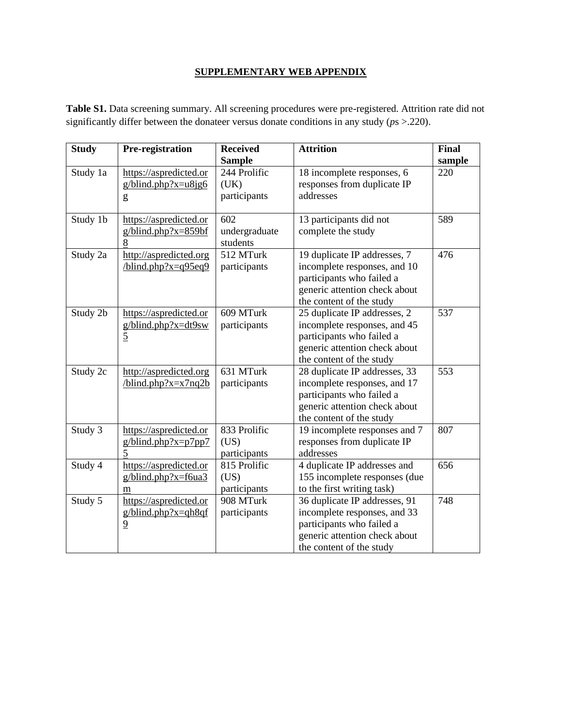# **SUPPLEMENTARY WEB APPENDIX**

| <b>Study</b> | Pre-registration                                                       | <b>Received</b>                                       | <b>Attrition</b>                                                                                                                                        | Final         |
|--------------|------------------------------------------------------------------------|-------------------------------------------------------|---------------------------------------------------------------------------------------------------------------------------------------------------------|---------------|
| Study 1a     | https://aspredicted.or<br>$g/b$ lind.php?x= $u8$ jg6<br>g              | <b>Sample</b><br>244 Prolific<br>(UK)<br>participants | 18 incomplete responses, 6<br>responses from duplicate IP<br>addresses                                                                                  | sample<br>220 |
| Study 1b     | https://aspredicted.or<br>$g/blind.php?x=859bf$<br>8                   | 602<br>undergraduate<br>students                      | 13 participants did not<br>complete the study                                                                                                           | 589           |
| Study 2a     | http://aspredicted.org<br>$\frac{\text{blind.php?x}=q95eq9}{\text{b}}$ | 512 MTurk<br>participants                             | 19 duplicate IP addresses, 7<br>incomplete responses, and 10<br>participants who failed a<br>generic attention check about<br>the content of the study  | 476           |
| Study 2b     | https://aspredicted.or<br>$g/blind.php?x=dt9sw$<br>$\overline{5}$      | 609 MTurk<br>participants                             | 25 duplicate IP addresses, 2<br>incomplete responses, and 45<br>participants who failed a<br>generic attention check about<br>the content of the study  | 537           |
| Study 2c     | http://aspredicted.org<br>$\/b$ lind.php?x=x7nq2b                      | 631 MTurk<br>participants                             | 28 duplicate IP addresses, 33<br>incomplete responses, and 17<br>participants who failed a<br>generic attention check about<br>the content of the study | 553           |
| Study 3      | https://aspredicted.or<br>$g/blind.php?x=p7pp7$<br>$\overline{5}$      | 833 Prolific<br>(US)<br>participants                  | 19 incomplete responses and 7<br>responses from duplicate IP<br>addresses                                                                               | 807           |
| Study 4      | https://aspredicted.or<br>$g/blind.php?x=f6ua3$<br>m                   | 815 Prolific<br>(US)<br>participants                  | 4 duplicate IP addresses and<br>155 incomplete responses (due<br>to the first writing task)                                                             | 656           |
| Study 5      | https://aspredicted.or<br>$g/blind.php?x=gh8qf$<br>$\overline{9}$      | 908 MTurk<br>participants                             | 36 duplicate IP addresses, 91<br>incomplete responses, and 33<br>participants who failed a<br>generic attention check about<br>the content of the study | 748           |

**Table S1.** Data screening summary. All screening procedures were pre-registered. Attrition rate did not significantly differ between the donateer versus donate conditions in any study (*p*s >.220).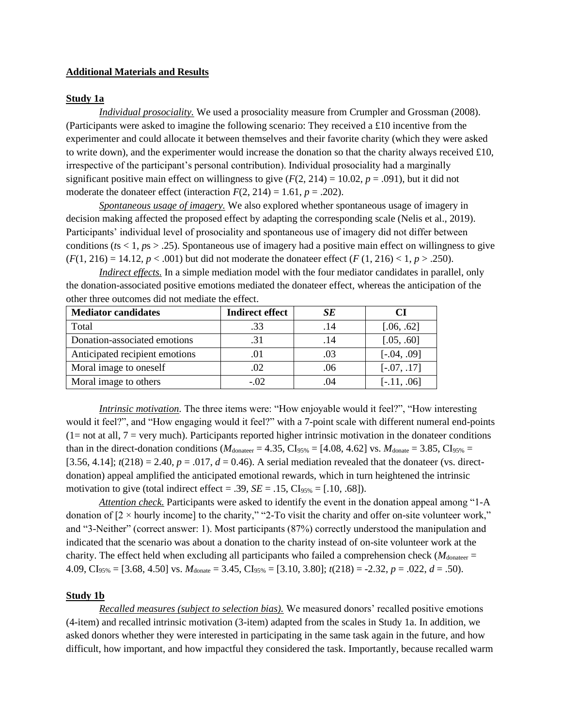#### **Additional Materials and Results**

#### **Study 1a**

*Individual prosociality.* We used a prosociality measure from Crumpler and Grossman (2008). (Participants were asked to imagine the following scenario: They received a £10 incentive from the experimenter and could allocate it between themselves and their favorite charity (which they were asked to write down), and the experimenter would increase the donation so that the charity always received  $\pounds 10$ , irrespective of the participant's personal contribution). Individual prosociality had a marginally significant positive main effect on willingness to give  $(F(2, 214) = 10.02, p = .091)$ , but it did not moderate the donateer effect (interaction  $F(2, 214) = 1.61$ ,  $p = .202$ ).

*Spontaneous usage of imagery.* We also explored whether spontaneous usage of imagery in decision making affected the proposed effect by adapting the corresponding scale (Nelis et al., 2019). Participants' individual level of prosociality and spontaneous use of imagery did not differ between conditions ( $ts < 1$ ,  $ps > .25$ ). Spontaneous use of imagery had a positive main effect on willingness to give  $(F(1, 216) = 14.12, p < .001)$  but did not moderate the donateer effect  $(F(1, 216) < 1, p > .250)$ .

*Indirect effects.* In a simple mediation model with the four mediator candidates in parallel, only the donation-associated positive emotions mediated the donateer effect, whereas the anticipation of the other three outcomes did not mediate the effect.

| <b>Mediator candidates</b>     | <b>Indirect effect</b> | SE   |               |
|--------------------------------|------------------------|------|---------------|
| Total                          | .33                    | . 14 | [.06, .62]    |
| Donation-associated emotions   | .31                    | .14  | [.05, .60]    |
| Anticipated recipient emotions | .01                    | .03  | $[-.04, .09]$ |
| Moral image to oneself         | .02                    | .06  | $[-.07, .17]$ |
| Moral image to others          | $-.02$                 |      | $[-.11, .06]$ |

*Intrinsic motivation.* The three items were: "How enjoyable would it feel?", "How interesting would it feel?", and "How engaging would it feel?" with a 7-point scale with different numeral end-points  $(1=$  not at all,  $7=$  very much). Participants reported higher intrinsic motivation in the donateer conditions than in the direct-donation conditions ( $M_{\text{donater}} = 4.35$ , CI<sub>95%</sub> = [4.08, 4.62] vs.  $M_{\text{donate}} = 3.85$ , CI<sub>95%</sub> = [3.56, 4.14];  $t(218) = 2.40$ ,  $p = .017$ ,  $d = 0.46$ ). A serial mediation revealed that the donateer (vs. directdonation) appeal amplified the anticipated emotional rewards, which in turn heightened the intrinsic motivation to give (total indirect effect = .39,  $SE = .15$ ,  $CI<sub>95%</sub> = [.10, .68]$ ).

*Attention check.* Participants were asked to identify the event in the donation appeal among "1-A donation of  $[2 \times \text{hourly income}]$  to the charity," "2-To visit the charity and offer on-site volunteer work," and "3-Neither" (correct answer: 1). Most participants (87%) correctly understood the manipulation and indicated that the scenario was about a donation to the charity instead of on-site volunteer work at the charity. The effect held when excluding all participants who failed a comprehension check ( $M_{\text{donater}} =$ 4.09,  $CI_{95\%} = [3.68, 4.50]$  vs.  $M_{donate} = 3.45$ ,  $CI_{95\%} = [3.10, 3.80]$ ;  $t(218) = -2.32$ ,  $p = .022$ ,  $d = .50$ ).

#### **Study 1b**

*Recalled measures (subject to selection bias).* We measured donors' recalled positive emotions (4-item) and recalled intrinsic motivation (3-item) adapted from the scales in Study 1a. In addition, we asked donors whether they were interested in participating in the same task again in the future, and how difficult, how important, and how impactful they considered the task. Importantly, because recalled warm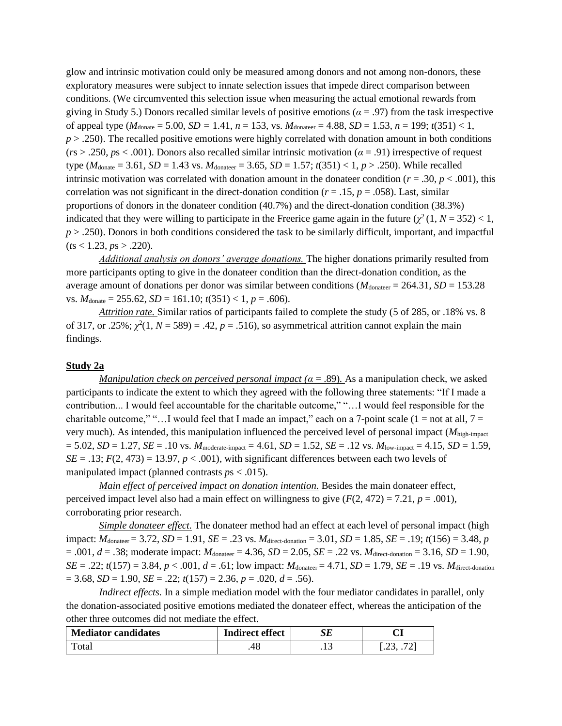glow and intrinsic motivation could only be measured among donors and not among non-donors, these exploratory measures were subject to innate selection issues that impede direct comparison between conditions. (We circumvented this selection issue when measuring the actual emotional rewards from giving in Study 5.) Donors recalled similar levels of positive emotions (*α* = .97) from the task irrespective of appeal type  $(M_{\text{donate}} = 5.00, SD = 1.41, n = 153, vs. M_{\text{donater}} = 4.88, SD = 1.53, n = 199; t(351) < 1,$ *p* > .250). The recalled positive emotions were highly correlated with donation amount in both conditions (*r*s > .250, *p*s < .001). Donors also recalled similar intrinsic motivation (*α* = .91) irrespective of request type ( $M_{\text{donate}} = 3.61$ ,  $SD = 1.43$  vs.  $M_{\text{donater}} = 3.65$ ,  $SD = 1.57$ ;  $t(351) < 1, p > .250$ ). While recalled intrinsic motivation was correlated with donation amount in the donateer condition ( $r = .30$ ,  $p < .001$ ), this correlation was not significant in the direct-donation condition ( $r = .15$ ,  $p = .058$ ). Last, similar proportions of donors in the donateer condition (40.7%) and the direct-donation condition (38.3%) indicated that they were willing to participate in the Freerice game again in the future  $(\chi^2(1, N = 352) < 1,$ *p* > .250). Donors in both conditions considered the task to be similarly difficult, important, and impactful  $(ts < 1.23, ps > .220).$ 

*Additional analysis on donors' average donations.* The higher donations primarily resulted from more participants opting to give in the donateer condition than the direct-donation condition, as the average amount of donations per donor was similar between conditions ( $M_{\text{donater}} = 264.31$ ,  $SD = 153.28$ ) vs.  $M_{\text{donate}} = 255.62$ ,  $SD = 161.10$ ;  $t(351) < 1$ ,  $p = .606$ ).

*Attrition rate.* Similar ratios of participants failed to complete the study (5 of 285, or .18% vs. 8 of 317, or .25%;  $\chi^2(1, N = 589) = .42$ ,  $p = .516$ ), so asymmetrical attrition cannot explain the main findings.

#### **Study 2a**

*Manipulation check on perceived personal impact* ( $\alpha = .89$ ). As a manipulation check, we asked participants to indicate the extent to which they agreed with the following three statements: "If I made a contribution... I would feel accountable for the charitable outcome," "…I would feel responsible for the charitable outcome," "... I would feel that I made an impact," each on a 7-point scale (1 = not at all,  $7 =$ very much). As intended, this manipulation influenced the perceived level of personal impact (*M*high-impact  $= 5.02, SD = 1.27, SE = .10 \text{ vs. } M_{\text{moderate-impact}} = 4.61, SD = 1.52, SE = .12 \text{ vs. } M_{\text{low-impact}} = 4.15, SD = 1.59,$  $SE = .13$ ;  $F(2, 473) = 13.97$ ,  $p < .001$ ), with significant differences between each two levels of manipulated impact (planned contrasts *p*s < .015).

*Main effect of perceived impact on donation intention.* Besides the main donateer effect, perceived impact level also had a main effect on willingness to give  $(F(2, 472) = 7.21, p = .001)$ , corroborating prior research.

*Simple donateer effect.* The donateer method had an effect at each level of personal impact (high impact: *M*donateer = 3.72, *SD* = 1.91, *SE* = .23 vs. *M*direct-donation = 3.01, *SD* = 1.85, *SE* = .19; *t*(156) = 3.48, *p*  $= .001, d = .38$ ; moderate impact:  $M_{\text{donater}} = 4.36, SD = 2.05, SE = .22$  vs.  $M_{\text{direct-domain}} = 3.16, SD = 1.90$ ,  $SE = .22$ ;  $t(157) = 3.84$ ,  $p < .001$ ,  $d = .61$ ; low impact:  $M_{\text{donater}} = 4.71$ ,  $SD = 1.79$ ,  $SE = .19$  vs.  $M_{\text{direct-donation}}$  $= 3.68$ , *SD* = 1.90, *SE* = .22;  $t(157) = 2.36$ ,  $p = .020$ ,  $d = .56$ ).

*Indirect effects.* In a simple mediation model with the four mediator candidates in parallel, only the donation-associated positive emotions mediated the donateer effect, whereas the anticipation of the other three outcomes did not mediate the effect.

| <b>Mediator candidates</b> | <b>Indirect effect</b> | JĽ |   |
|----------------------------|------------------------|----|---|
| Total                      | 48                     | .  | . |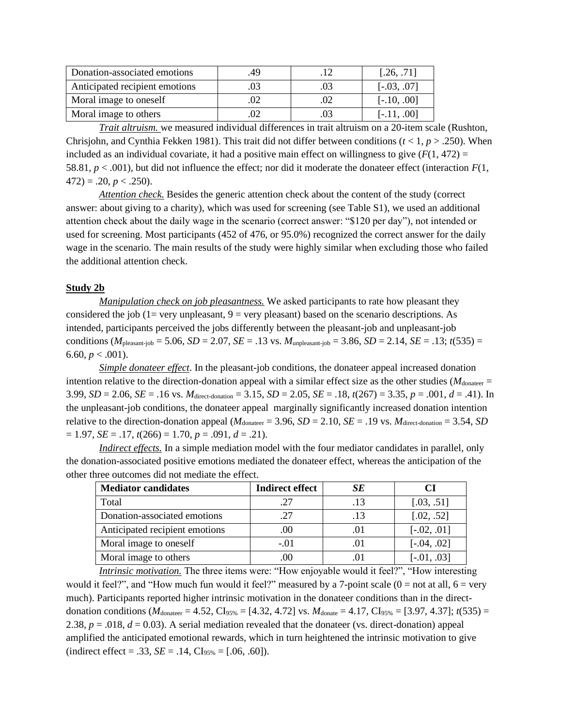| Donation-associated emotions   | .49 | [.26, .71]    |
|--------------------------------|-----|---------------|
| Anticipated recipient emotions |     | $[-.03, .07]$ |
| Moral image to oneself         |     | $[-.10, .00]$ |
| Moral image to others          |     | $[-.11, .00]$ |

*Trait altruism.* we measured individual differences in trait altruism on a 20-item scale (Rushton, Chrisjohn, and Cynthia Fekken 1981). This trait did not differ between conditions ( $t < 1$ ,  $p > .250$ ). When included as an individual covariate, it had a positive main effect on willingness to give  $(F(1, 472))$ 58.81,  $p < .001$ ), but did not influence the effect; nor did it moderate the donateer effect (interaction  $F(1)$ ,  $472$ ) = .20,  $p < .250$ ).

*Attention check.* Besides the generic attention check about the content of the study (correct answer: about giving to a charity), which was used for screening (see Table S1), we used an additional attention check about the daily wage in the scenario (correct answer: "\$120 per day"), not intended or used for screening. Most participants (452 of 476, or 95.0%) recognized the correct answer for the daily wage in the scenario. The main results of the study were highly similar when excluding those who failed the additional attention check.

#### **Study 2b**

*Manipulation check on job pleasantness.* We asked participants to rate how pleasant they considered the job ( $1=$  very unpleasant,  $9=$  very pleasant) based on the scenario descriptions. As intended, participants perceived the jobs differently between the pleasant-job and unpleasant-job conditions ( $M_{\text{pleasant-job}}$  = 5.06, *SD* = 2.07, *SE* = .13 vs.  $M_{\text{unpleasant-job}}$  = 3.86, *SD* = 2.14, *SE* = .13; *t*(535) = 6.60,  $p < .001$ ).

*Simple donateer effect*. In the pleasant-job conditions, the donateer appeal increased donation intention relative to the direction-donation appeal with a similar effect size as the other studies ( $M_{\text{donater}} =$ 3.99,  $SD = 2.06$ ,  $SE = .16$  vs.  $M_{\text{direct-domain}} = 3.15$ ,  $SD = 2.05$ ,  $SE = .18$ ,  $t(267) = 3.35$ ,  $p = .001$ ,  $d = .41$ ). In the unpleasant-job conditions, the donateer appeal marginally significantly increased donation intention relative to the direction-donation appeal ( $M_{donater} = 3.96$ ,  $SD = 2.10$ ,  $SE = .19$  vs.  $M_{direct-domain} = 3.54$ ,  $SD$  $= 1.97$ , *SE* = .17,  $t(266) = 1.70$ ,  $p = .091$ ,  $d = .21$ ).

*Indirect effects.* In a simple mediation model with the four mediator candidates in parallel, only the donation-associated positive emotions mediated the donateer effect, whereas the anticipation of the other three outcomes did not mediate the effect.

| <b>Mediator candidates</b>     | <b>Indirect effect</b> | SE  |               |
|--------------------------------|------------------------|-----|---------------|
| Total                          | .27                    | -13 | [.03, .51]    |
| Donation-associated emotions   | .27                    | .13 | [.02, .52]    |
| Anticipated recipient emotions | .00                    |     | $[-.02, .01]$ |
| Moral image to oneself         | $-.01$                 |     | $[-.04, .02]$ |
| Moral image to others          | .00                    |     | $[-.01, .03]$ |

*Intrinsic motivation.* The three items were: "How enjoyable would it feel?", "How interesting would it feel?", and "How much fun would it feel?" measured by a 7-point scale  $(0 = not at all, 6 = very$ much). Participants reported higher intrinsic motivation in the donateer conditions than in the directdonation conditions ( $M_{\text{donater}} = 4.52$ , CI<sub>95%</sub> = [4.32, 4.72] vs.  $M_{\text{donate}} = 4.17$ , CI<sub>95%</sub> = [3.97, 4.37]; *t*(535) = 2.38,  $p = 0.018$ ,  $d = 0.03$ ). A serial mediation revealed that the donateer (vs. direct-donation) appeal amplified the anticipated emotional rewards, which in turn heightened the intrinsic motivation to give  $(indirect effect = .33, SE = .14, CI<sub>95%</sub> = [.06, .60]).$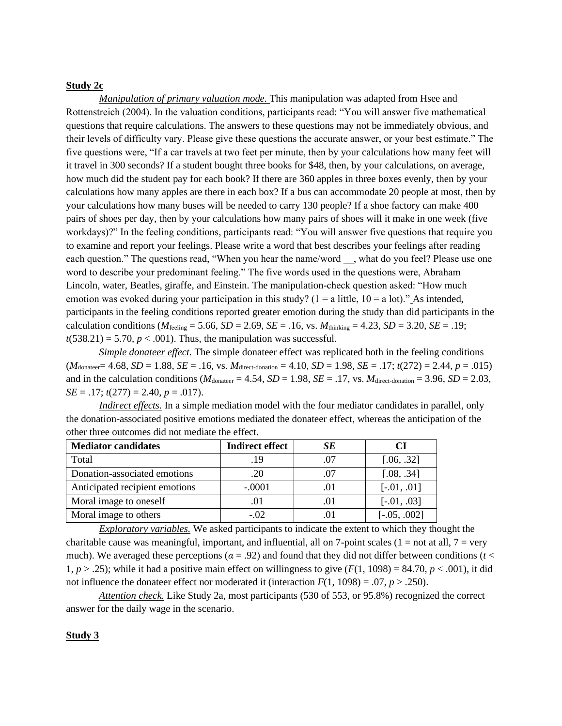# **Study 2c**

*Manipulation of primary valuation mode.* This manipulation was adapted from Hsee and Rottenstreich (2004). In the valuation conditions, participants read: "You will answer five mathematical questions that require calculations. The answers to these questions may not be immediately obvious, and their levels of difficulty vary. Please give these questions the accurate answer, or your best estimate." The five questions were, "If a car travels at two feet per minute, then by your calculations how many feet will it travel in 300 seconds? If a student bought three books for \$48, then, by your calculations, on average, how much did the student pay for each book? If there are 360 apples in three boxes evenly, then by your calculations how many apples are there in each box? If a bus can accommodate 20 people at most, then by your calculations how many buses will be needed to carry 130 people? If a shoe factory can make 400 pairs of shoes per day, then by your calculations how many pairs of shoes will it make in one week (five workdays)?" In the feeling conditions, participants read: "You will answer five questions that require you to examine and report your feelings. Please write a word that best describes your feelings after reading each question." The questions read, "When you hear the name/word, what do you feel? Please use one word to describe your predominant feeling." The five words used in the questions were, Abraham Lincoln, water, Beatles, giraffe, and Einstein. The manipulation-check question asked: "How much emotion was evoked during your participation in this study? ( $1 = a$  little,  $10 = a$  lot)." As intended, participants in the feeling conditions reported greater emotion during the study than did participants in the calculation conditions ( $M_{\text{feeling}} = 5.66$ ,  $SD = 2.69$ ,  $SE = .16$ , vs.  $M_{\text{thinking}} = 4.23$ ,  $SD = 3.20$ ,  $SE = .19$ ;  $t(538.21) = 5.70$ ,  $p < .001$ ). Thus, the manipulation was successful.

*Simple donateer effect.* The simple donateer effect was replicated both in the feeling conditions  $(M_{\text{donater}}=4.68, SD = 1.88, SE = .16, vs. M_{\text{direct-domain}} = 4.10, SD = 1.98, SE = .17; t(272) = 2.44, p = .015)$ and in the calculation conditions  $(M_{\text{donater}} = 4.54, SD = 1.98, SE = .17, vs. M_{\text{direct-domain}} = 3.96, SD = 2.03,$ *SE* = .17; *t*(277) = 2.40, *p* = .017).

*Indirect effects.* In a simple mediation model with the four mediator candidates in parallel, only the donation-associated positive emotions mediated the donateer effect, whereas the anticipation of the other three outcomes did not mediate the effect.

| <b>Mediator candidates</b>     | <b>Indirect effect</b> | SЕ |                |
|--------------------------------|------------------------|----|----------------|
| Total                          | .19                    |    | [.06, .32]     |
| Donation-associated emotions   | .20                    |    | [.08, .34]     |
| Anticipated recipient emotions | $-.0001$               |    | $[-.01, .01]$  |
| Moral image to oneself         | .01                    |    | $[-.01, .03]$  |
| Moral image to others          | $-.02$                 |    | $[-.05, .002]$ |

*Exploratory variables.* We asked participants to indicate the extent to which they thought the charitable cause was meaningful, important, and influential, all on 7-point scales ( $1 = not$  at all,  $7 = very$ ) much). We averaged these perceptions ( $\alpha = .92$ ) and found that they did not differ between conditions ( $t <$ 1,  $p > .25$ ); while it had a positive main effect on willingness to give  $(F(1, 1098) = 84.70, p < .001)$ , it did not influence the donateer effect nor moderated it (interaction  $F(1, 1098) = .07$ ,  $p > .250$ ).

*Attention check.* Like Study 2a, most participants (530 of 553, or 95.8%) recognized the correct answer for the daily wage in the scenario.

#### **Study 3**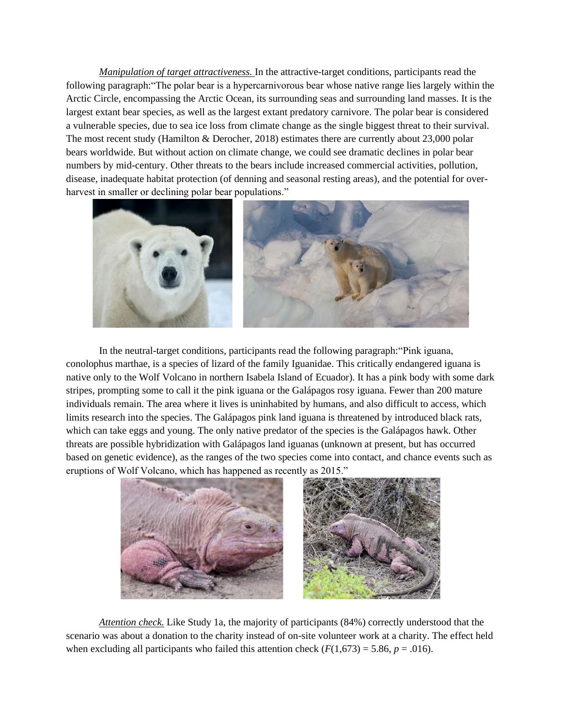*Manipulation of target attractiveness.* In the attractive-target conditions, participants read the following paragraph:"The polar bear is a hypercarnivorous bear whose native range lies largely within the Arctic Circle, encompassing the Arctic Ocean, its surrounding seas and surrounding land masses. It is the largest extant bear species, as well as the largest extant predatory carnivore. The polar bear is considered a vulnerable species, due to sea ice loss from climate change as the single biggest threat to their survival. The most recent study (Hamilton & Derocher, 2018) estimates there are currently about 23,000 polar bears worldwide. But without action on climate change, we could see dramatic declines in polar bear numbers by mid-century. Other threats to the bears include increased commercial activities, pollution, disease, inadequate habitat protection (of denning and seasonal resting areas), and the potential for overharvest in smaller or declining polar bear populations."



In the neutral-target conditions, participants read the following paragraph:"Pink iguana, conolophus marthae, is a species of lizard of the family Iguanidae. This critically endangered iguana is native only to the Wolf Volcano in northern Isabela Island of Ecuador). It has a pink body with some dark stripes, prompting some to call it the pink iguana or the Galápagos rosy iguana. Fewer than 200 mature individuals remain. The area where it lives is uninhabited by humans, and also difficult to access, which limits research into the species. The Galápagos pink land iguana is threatened by introduced black rats, which can take eggs and young. The only native predator of the species is the Galápagos hawk. Other threats are possible hybridization with Galápagos land iguanas (unknown at present, but has occurred based on genetic evidence), as the ranges of the two species come into contact, and chance events such as eruptions of Wolf Volcano, which has happened as recently as 2015."



*Attention check.* Like Study 1a, the majority of participants (84%) correctly understood that the scenario was about a donation to the charity instead of on-site volunteer work at a charity. The effect held when excluding all participants who failed this attention check  $(F(1,673) = 5.86, p = .016)$ .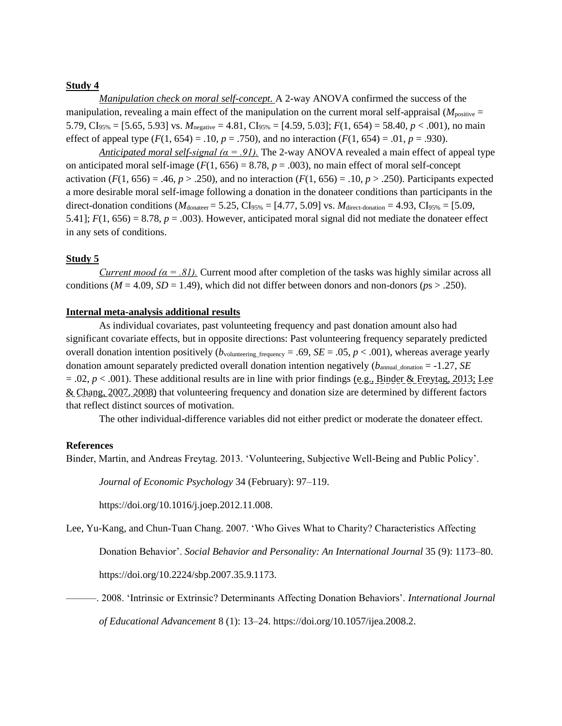# **Study 4**

*Manipulation check on moral self-concept.* A 2-way ANOVA confirmed the success of the manipulation, revealing a main effect of the manipulation on the current moral self-appraisal  $(M_{\text{positive}} =$ 5.79, CI<sub>95%</sub> = [5.65, 5.93] vs.  $M_{\text{negative}} = 4.81$ , CI<sub>95%</sub> = [4.59, 5.03];  $F(1, 654) = 58.40$ ,  $p < .001$ ), no main effect of appeal type  $(F(1, 654) = .10, p = .750)$ , and no interaction  $(F(1, 654) = .01, p = .930)$ .

*Anticipated moral self-signal (* $\alpha = .91$ *).* The 2-way ANOVA revealed a main effect of appeal type on anticipated moral self-image  $(F(1, 656) = 8.78, p = .003)$ , no main effect of moral self-concept activation  $(F(1, 656) = .46, p > .250)$ , and no interaction  $(F(1, 656) = .10, p > .250)$ . Participants expected a more desirable moral self-image following a donation in the donateer conditions than participants in the direct-donation conditions ( $M_{\text{donater}} = 5.25$ , CI<sub>95%</sub> = [4.77, 5.09] vs.  $M_{\text{direct-donation}} = 4.93$ , CI<sub>95%</sub> = [5.09, 5.41];  $F(1, 656) = 8.78$ ,  $p = .003$ . However, anticipated moral signal did not mediate the donateer effect in any sets of conditions.

#### **Study 5**

*Current mood (* $\alpha = .81$ *).* Current mood after completion of the tasks was highly similar across all conditions ( $M = 4.09$ ,  $SD = 1.49$ ), which did not differ between donors and non-donors ( $ps > .250$ ).

#### **Internal meta-analysis additional results**

As individual covariates, past volunteeting frequency and past donation amount also had significant covariate effects, but in opposite directions: Past volunteering frequency separately predicted overall donation intention positively ( $b_{\text{volume}}$ <sub>frequency</sub> = .69, *SE* = .05, *p* < .001), whereas average yearly donation amount separately predicted overall donation intention negatively ( $b_{\text{annual domain}} = -1.27$ , *SE*  $= 0.02$ ,  $p < 0.001$ ). These additional results are in line with prior findings (e.g., Binder & Freytag, 2013; Lee & Chang, 2007, 2008) that volunteering frequency and donation size are determined by different factors that reflect distinct sources of motivation.

The other individual-difference variables did not either predict or moderate the donateer effect.

#### **References**

Binder, Martin, and Andreas Freytag. 2013. 'Volunteering, Subjective Well-Being and Public Policy'.

*Journal of Economic Psychology* 34 (February): 97–119.

https://doi.org/10.1016/j.joep.2012.11.008.

Lee, Yu-Kang, and Chun-Tuan Chang. 2007. 'Who Gives What to Charity? Characteristics Affecting

Donation Behavior'. *Social Behavior and Personality: An International Journal* 35 (9): 1173–80.

https://doi.org/10.2224/sbp.2007.35.9.1173.

———. 2008. 'Intrinsic or Extrinsic? Determinants Affecting Donation Behaviors'. *International Journal of Educational Advancement* 8 (1): 13–24. https://doi.org/10.1057/ijea.2008.2.